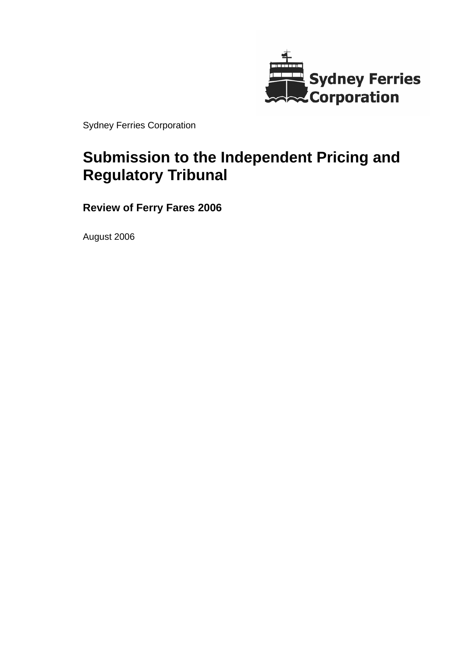

Sydney Ferries Corporation

# **Submission to the Independent Pricing and Regulatory Tribunal**

**Review of Ferry Fares 2006** 

August 2006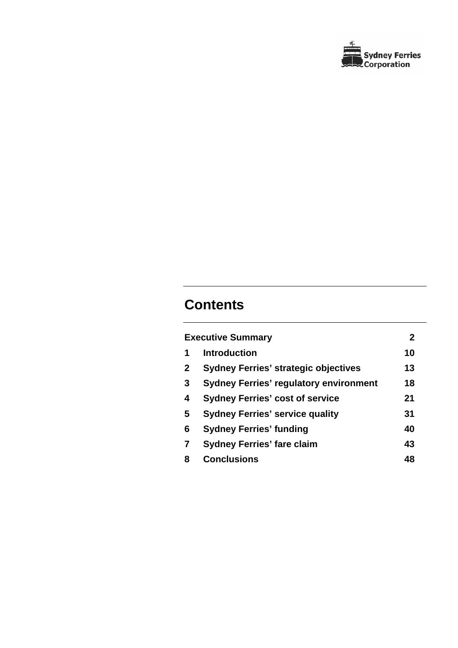

# **Contents**

|              | <b>Executive Summary</b>                      | $\mathbf{2}$ |
|--------------|-----------------------------------------------|--------------|
| 1            | <b>Introduction</b>                           | 10           |
| $\mathbf{2}$ | <b>Sydney Ferries' strategic objectives</b>   | 13           |
| 3            | <b>Sydney Ferries' regulatory environment</b> | 18           |
| 4            | <b>Sydney Ferries' cost of service</b>        | 21           |
| 5            | <b>Sydney Ferries' service quality</b>        | 31           |
| 6            | <b>Sydney Ferries' funding</b>                | 40           |
| 7            | <b>Sydney Ferries' fare claim</b>             | 43           |
| 8            | <b>Conclusions</b>                            | 48           |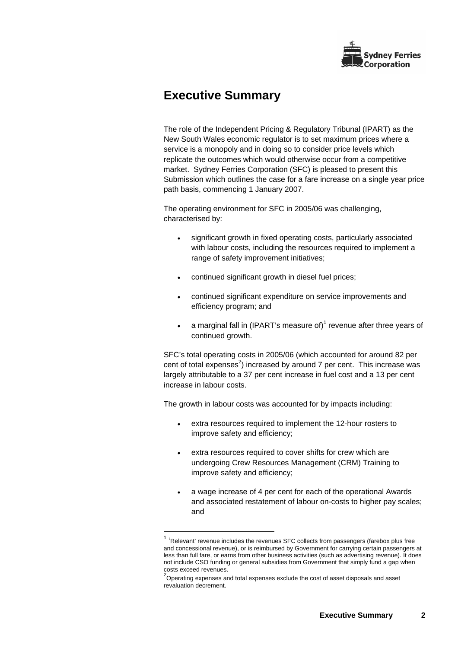

# **Executive Summary**

The role of the Independent Pricing & Regulatory Tribunal (IPART) as the New South Wales economic regulator is to set maximum prices where a service is a monopoly and in doing so to consider price levels which replicate the outcomes which would otherwise occur from a competitive market. Sydney Ferries Corporation (SFC) is pleased to present this Submission which outlines the case for a fare increase on a single year price path basis, commencing 1 January 2007.

The operating environment for SFC in 2005/06 was challenging, characterised by:

- significant growth in fixed operating costs, particularly associated with labour costs, including the resources required to implement a range of safety improvement initiatives;
- continued significant growth in diesel fuel prices;
- continued significant expenditure on service improvements and efficiency program; and
- a marginal fall in (IPART's measure of)<sup>1</sup> revenue after three years of continued growth.

SFC's total operating costs in 2005/06 (which accounted for around 82 per cent of total expenses<sup>2</sup>) increased by around 7 per cent. This increase was largely attributable to a 37 per cent increase in fuel cost and a 13 per cent increase in labour costs.

The growth in labour costs was accounted for by impacts including:

- extra resources required to implement the 12-hour rosters to improve safety and efficiency;
- extra resources required to cover shifts for crew which are undergoing Crew Resources Management (CRM) Training to improve safety and efficiency;
- a wage increase of 4 per cent for each of the operational Awards and associated restatement of labour on-costs to higher pay scales; and

 1 'Relevant' revenue includes the revenues SFC collects from passengers (farebox plus free and concessional revenue), or is reimbursed by Government for carrying certain passengers at less than full fare, or earns from other business activities (such as advertising revenue). It does not include CSO funding or general subsidies from Government that simply fund a gap when costs exceed revenues.

 $^2$ Operating expenses and total expenses exclude the cost of asset disposals and asset revaluation decrement.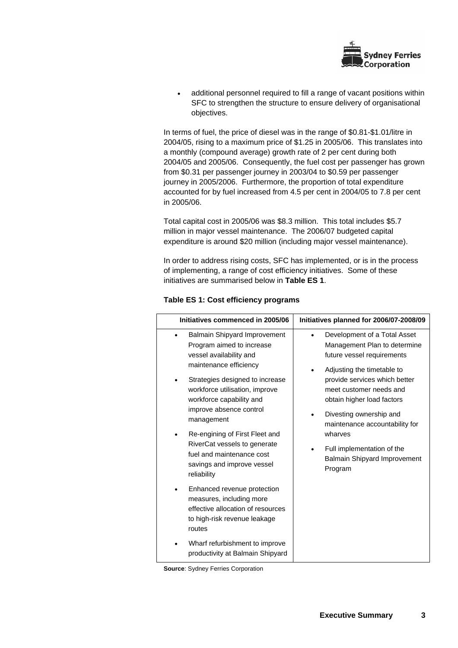

additional personnel required to fill a range of vacant positions within SFC to strengthen the structure to ensure delivery of organisational objectives.

In terms of fuel, the price of diesel was in the range of \$0.81-\$1.01/litre in 2004/05, rising to a maximum price of \$1.25 in 2005/06. This translates into a monthly (compound average) growth rate of 2 per cent during both 2004/05 and 2005/06. Consequently, the fuel cost per passenger has grown from \$0.31 per passenger journey in 2003/04 to \$0.59 per passenger journey in 2005/2006. Furthermore, the proportion of total expenditure accounted for by fuel increased from 4.5 per cent in 2004/05 to 7.8 per cent in 2005/06.

Total capital cost in 2005/06 was \$8.3 million. This total includes \$5.7 million in major vessel maintenance. The 2006/07 budgeted capital expenditure is around \$20 million (including major vessel maintenance).

In order to address rising costs, SFC has implemented, or is in the process of implementing, a range of cost efficiency initiatives. Some of these initiatives are summarised below in **Table ES 1**.

| Initiatives commenced in 2005/06                                                                                                                                                                                                                                                                                                                                                                            | Initiatives planned for 2006/07-2008/09                                                                                                                                                                                                                                                                                                                                          |
|-------------------------------------------------------------------------------------------------------------------------------------------------------------------------------------------------------------------------------------------------------------------------------------------------------------------------------------------------------------------------------------------------------------|----------------------------------------------------------------------------------------------------------------------------------------------------------------------------------------------------------------------------------------------------------------------------------------------------------------------------------------------------------------------------------|
| <b>Balmain Shipyard Improvement</b><br>Program aimed to increase<br>vessel availability and<br>maintenance efficiency<br>Strategies designed to increase<br>workforce utilisation, improve<br>workforce capability and<br>improve absence control<br>management<br>Re-engining of First Fleet and<br>RiverCat vessels to generate<br>fuel and maintenance cost<br>savings and improve vessel<br>reliability | Development of a Total Asset<br>Management Plan to determine<br>future vessel requirements<br>Adjusting the timetable to<br>provide services which better<br>meet customer needs and<br>obtain higher load factors<br>Divesting ownership and<br>maintenance accountability for<br>wharves<br>Full implementation of the<br>$\bullet$<br>Balmain Shipyard Improvement<br>Program |
| Enhanced revenue protection<br>$\bullet$<br>measures, including more<br>effective allocation of resources<br>to high-risk revenue leakage<br>routes                                                                                                                                                                                                                                                         |                                                                                                                                                                                                                                                                                                                                                                                  |
| Wharf refurbishment to improve<br>productivity at Balmain Shipyard                                                                                                                                                                                                                                                                                                                                          |                                                                                                                                                                                                                                                                                                                                                                                  |

### **Table ES 1: Cost efficiency programs**

**Source**: Sydney Ferries Corporation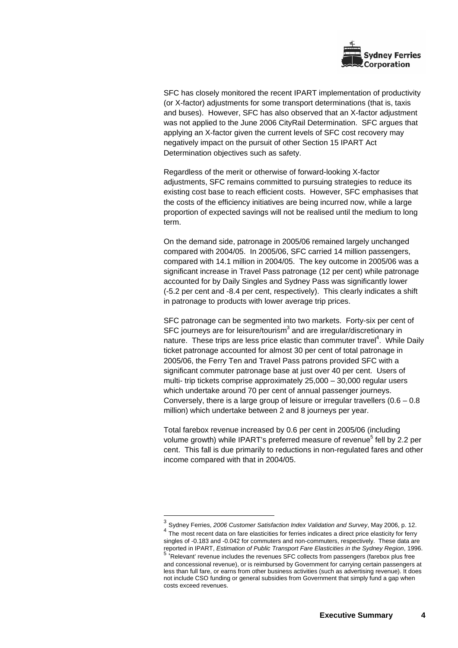

SFC has closely monitored the recent IPART implementation of productivity (or X-factor) adjustments for some transport determinations (that is, taxis and buses). However, SFC has also observed that an X-factor adjustment was not applied to the June 2006 CityRail Determination. SFC argues that applying an X-factor given the current levels of SFC cost recovery may negatively impact on the pursuit of other Section 15 IPART Act Determination objectives such as safety.

Regardless of the merit or otherwise of forward-looking X-factor adjustments, SFC remains committed to pursuing strategies to reduce its existing cost base to reach efficient costs. However, SFC emphasises that the costs of the efficiency initiatives are being incurred now, while a large proportion of expected savings will not be realised until the medium to long term.

On the demand side, patronage in 2005/06 remained largely unchanged compared with 2004/05. In 2005/06, SFC carried 14 million passengers, compared with 14.1 million in 2004/05. The key outcome in 2005/06 was a significant increase in Travel Pass patronage (12 per cent) while patronage accounted for by Daily Singles and Sydney Pass was significantly lower (-5.2 per cent and -8.4 per cent, respectively). This clearly indicates a shift in patronage to products with lower average trip prices.

SFC patronage can be segmented into two markets. Forty-six per cent of SFC journeys are for leisure/tourism $3$  and are irregular/discretionary in nature. These trips are less price elastic than commuter travel<sup>4</sup>. While Daily ticket patronage accounted for almost 30 per cent of total patronage in 2005/06, the Ferry Ten and Travel Pass patrons provided SFC with a significant commuter patronage base at just over 40 per cent. Users of multi- trip tickets comprise approximately 25,000 – 30,000 regular users which undertake around 70 per cent of annual passenger journeys. Conversely, there is a large group of leisure or irregular travellers  $(0.6 - 0.8)$ million) which undertake between 2 and 8 journeys per year.

Total farebox revenue increased by 0.6 per cent in 2005/06 (including volume growth) while IPART's preferred measure of revenue<sup>5</sup> fell by 2.2 per cent. This fall is due primarily to reductions in non-regulated fares and other income compared with that in 2004/05.

l

<sup>3</sup> Sydney Ferries, *2006 Customer Satisfaction Index Validation and Survey*, May 2006, p. 12.

<sup>&</sup>lt;sup>4</sup> The most recent data on fare elasticities for ferries indicates a direct price elasticity for ferry singles of -0.183 and -0.042 for commuters and non-commuters, respectively. These data are reported in IPART, *Estimation of Public Transport Fare Elasticities in the Sydney Region*, 1996.<br><sup>5</sup> 'Relevant' revenue includes the revenues SFC collects from passengers (farebox plus free

and concessional revenue), or is reimbursed by Government for carrying certain passengers at less than full fare, or earns from other business activities (such as advertising revenue). It does not include CSO funding or general subsidies from Government that simply fund a gap when costs exceed revenues.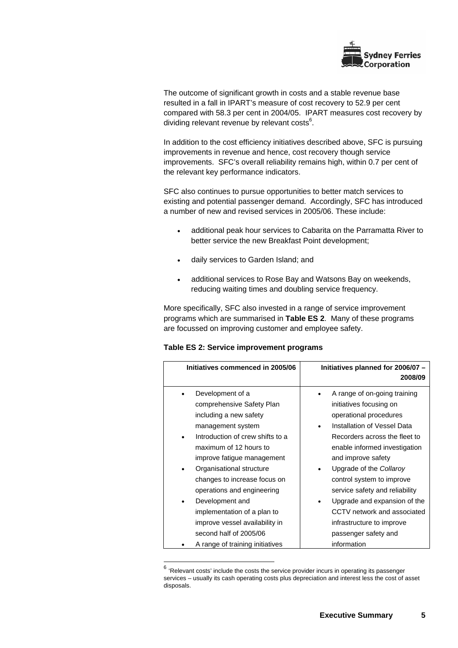

The outcome of significant growth in costs and a stable revenue base resulted in a fall in IPART's measure of cost recovery to 52.9 per cent compared with 58.3 per cent in 2004/05. IPART measures cost recovery by dividing relevant revenue by relevant costs $^6$ .

In addition to the cost efficiency initiatives described above, SFC is pursuing improvements in revenue and hence, cost recovery though service improvements. SFC's overall reliability remains high, within 0.7 per cent of the relevant key performance indicators.

SFC also continues to pursue opportunities to better match services to existing and potential passenger demand. Accordingly, SFC has introduced a number of new and revised services in 2005/06. These include:

- additional peak hour services to Cabarita on the Parramatta River to better service the new Breakfast Point development;
- daily services to Garden Island; and
- additional services to Rose Bay and Watsons Bay on weekends, reducing waiting times and doubling service frequency.

More specifically, SFC also invested in a range of service improvement programs which are summarised in **Table ES 2**. Many of these programs are focussed on improving customer and employee safety.

|  |  |  | Table ES 2: Service improvement programs |  |
|--|--|--|------------------------------------------|--|
|--|--|--|------------------------------------------|--|

l

| Initiatives commenced in 2005/06                                                                                                                                                                                                                                                                                                                                                                                                                 | Initiatives planned for 2006/07 -<br>2008/09                                                                                                                                                                                                                                                                                                                                                                                          |
|--------------------------------------------------------------------------------------------------------------------------------------------------------------------------------------------------------------------------------------------------------------------------------------------------------------------------------------------------------------------------------------------------------------------------------------------------|---------------------------------------------------------------------------------------------------------------------------------------------------------------------------------------------------------------------------------------------------------------------------------------------------------------------------------------------------------------------------------------------------------------------------------------|
| Development of a<br>comprehensive Safety Plan<br>including a new safety<br>management system<br>Introduction of crew shifts to a<br>$\bullet$<br>maximum of 12 hours to<br>improve fatigue management<br>Organisational structure<br>changes to increase focus on<br>operations and engineering<br>Development and<br>implementation of a plan to<br>improve vessel availability in<br>second half of 2005/06<br>A range of training initiatives | A range of on-going training<br>initiatives focusing on<br>operational procedures<br>Installation of Vessel Data<br>Recorders across the fleet to<br>enable informed investigation<br>and improve safety<br>Upgrade of the Collaroy<br>control system to improve<br>service safety and reliability<br>Upgrade and expansion of the<br>CCTV network and associated<br>infrastructure to improve<br>passenger safety and<br>information |
|                                                                                                                                                                                                                                                                                                                                                                                                                                                  |                                                                                                                                                                                                                                                                                                                                                                                                                                       |

 $6$  'Relevant costs' include the costs the service provider incurs in operating its passenger services – usually its cash operating costs plus depreciation and interest less the cost of asset disposals.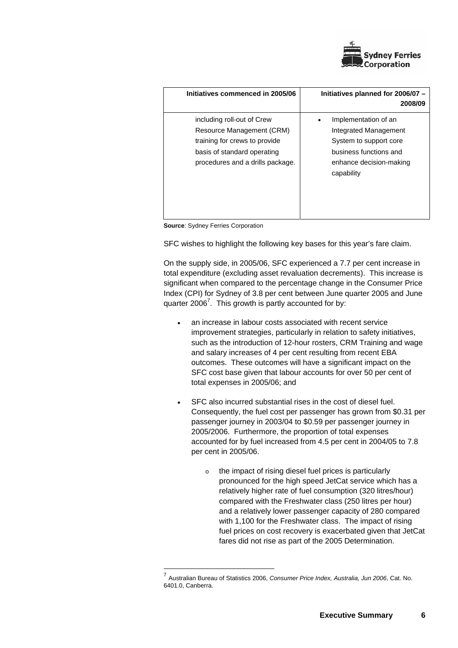

| Initiatives commenced in 2005/06                                                                                                                            | Initiatives planned for 2006/07 -<br>2008/09                                                                                               |
|-------------------------------------------------------------------------------------------------------------------------------------------------------------|--------------------------------------------------------------------------------------------------------------------------------------------|
| including roll-out of Crew<br>Resource Management (CRM)<br>training for crews to provide<br>basis of standard operating<br>procedures and a drills package. | Implementation of an<br>Integrated Management<br>System to support core<br>business functions and<br>enhance decision-making<br>capability |

**Source: Sydney Ferries Corporation** 

l

SFC wishes to highlight the following key bases for this year's fare claim.

On the supply side, in 2005/06, SFC experienced a 7.7 per cent increase in total expenditure (excluding asset revaluation decrements). This increase is significant when compared to the percentage change in the Consumer Price Index (CPI) for Sydney of 3.8 per cent between June quarter 2005 and June quarter 2006<sup>7</sup>. This growth is partly accounted for by:

- an increase in labour costs associated with recent service improvement strategies, particularly in relation to safety initiatives, such as the introduction of 12-hour rosters, CRM Training and wage and salary increases of 4 per cent resulting from recent EBA outcomes. These outcomes will have a significant impact on the SFC cost base given that labour accounts for over 50 per cent of total expenses in 2005/06; and
- SFC also incurred substantial rises in the cost of diesel fuel. Consequently, the fuel cost per passenger has grown from \$0.31 per passenger journey in 2003/04 to \$0.59 per passenger journey in 2005/2006. Furthermore, the proportion of total expenses accounted for by fuel increased from 4.5 per cent in 2004/05 to 7.8 per cent in 2005/06.
	- o the impact of rising diesel fuel prices is particularly pronounced for the high speed JetCat service which has a relatively higher rate of fuel consumption (320 litres/hour) compared with the Freshwater class (250 litres per hour) and a relatively lower passenger capacity of 280 compared with 1,100 for the Freshwater class. The impact of rising fuel prices on cost recovery is exacerbated given that JetCat fares did not rise as part of the 2005 Determination.

<sup>7</sup> Australian Bureau of Statistics 2006, *Consumer Price Index, Australia, Jun 2006*, Cat. No. 6401.0, Canberra.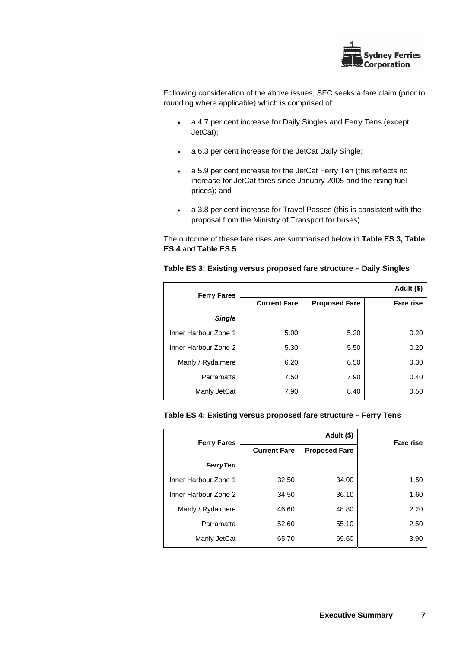

Following consideration of the above issues, SFC seeks a fare claim (prior to rounding where applicable) which is comprised of:

- a 4.7 per cent increase for Daily Singles and Ferry Tens (except JetCat);
- a 6.3 per cent increase for the JetCat Daily Single;
- a 5.9 per cent increase for the JetCat Ferry Ten (this reflects no increase for JetCat fares since January 2005 and the rising fuel prices); and
- a 3.8 per cent increase for Travel Passes (this is consistent with the proposal from the Ministry of Transport for buses).

The outcome of these fare rises are summarised below in **Table ES 3, Table ES 4** and **Table ES 5**.

| <b>Ferry Fares</b>   |                     |                      | Adult (\$)       |
|----------------------|---------------------|----------------------|------------------|
|                      | <b>Current Fare</b> | <b>Proposed Fare</b> | <b>Fare rise</b> |
| Single               |                     |                      |                  |
| Inner Harbour Zone 1 | 5.00                | 5.20                 | 0.20             |
| Inner Harbour Zone 2 | 5.30                | 5.50                 | 0.20             |
| Manly / Rydalmere    | 6.20                | 6.50                 | 0.30             |
| Parramatta           | 7.50                | 7.90                 | 0.40             |
| Manly JetCat         | 7.90                | 8.40                 | 0.50             |

### **Table ES 3: Existing versus proposed fare structure – Daily Singles**

#### **Table ES 4: Existing versus proposed fare structure – Ferry Tens**

| <b>Ferry Fares</b>   | Adult (\$)          |                      | <b>Fare rise</b> |
|----------------------|---------------------|----------------------|------------------|
|                      | <b>Current Fare</b> | <b>Proposed Fare</b> |                  |
| <b>FerryTen</b>      |                     |                      |                  |
| Inner Harbour Zone 1 | 32.50               | 34.00                | 1.50             |
| Inner Harbour Zone 2 | 34.50               | 36.10                | 1.60             |
| Manly / Rydalmere    | 46.60               | 48.80                | 2.20             |
| Parramatta           | 52.60               | 55.10                | 2.50             |
| Manly JetCat         | 65.70               | 69.60                | 3.90             |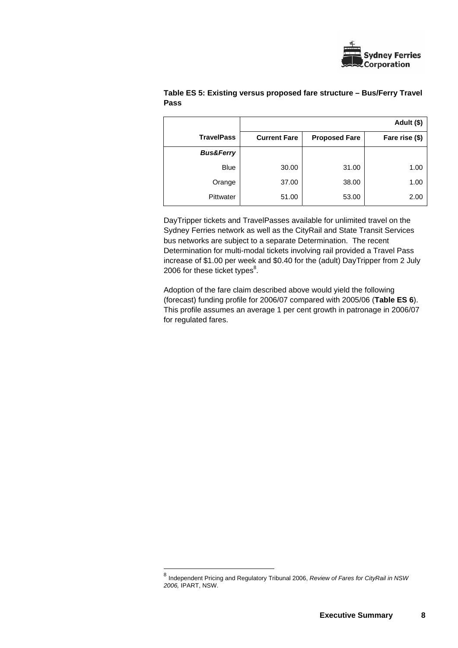

|                      |                     |                      | Adult (\$)     |
|----------------------|---------------------|----------------------|----------------|
| <b>TravelPass</b>    | <b>Current Fare</b> | <b>Proposed Fare</b> | Fare rise (\$) |
| <b>Bus&amp;Ferry</b> |                     |                      |                |
| <b>Blue</b>          | 30.00               | 31.00                | 1.00           |
| Orange               | 37.00               | 38.00                | 1.00           |
| Pittwater            | 51.00               | 53.00                | 2.00           |

## **Table ES 5: Existing versus proposed fare structure – Bus/Ferry Travel Pass**

DayTripper tickets and TravelPasses available for unlimited travel on the Sydney Ferries network as well as the CityRail and State Transit Services bus networks are subject to a separate Determination. The recent Determination for multi-modal tickets involving rail provided a Travel Pass increase of \$1.00 per week and \$0.40 for the (adult) DayTripper from 2 July 2006 for these ticket types $^8$ .

Adoption of the fare claim described above would yield the following (forecast) funding profile for 2006/07 compared with 2005/06 (**Table ES 6**). This profile assumes an average 1 per cent growth in patronage in 2006/07 for regulated fares.

l

<sup>8</sup> Independent Pricing and Regulatory Tribunal 2006, *Review of Fares for CityRail in NSW 2006,* IPART, NSW.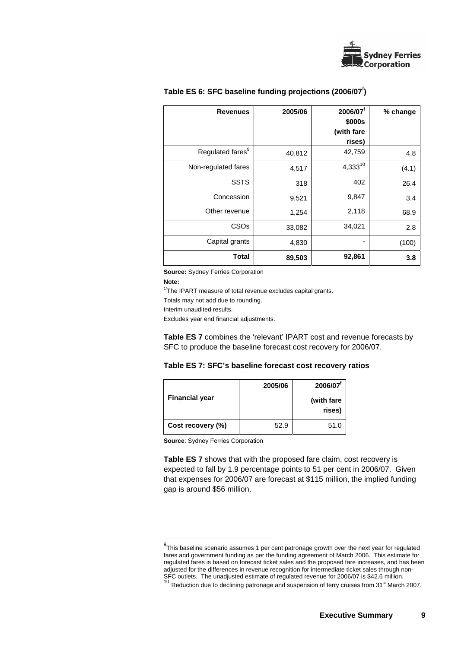

| <b>Revenues</b>              | 2005/06 | 2006/07 <sup>f</sup><br>\$000s<br>(with fare<br>rises) | % change |
|------------------------------|---------|--------------------------------------------------------|----------|
| Regulated fares <sup>9</sup> | 40,812  | 42,759                                                 | 4.8      |
| Non-regulated fares          | 4,517   | $4,333^{10}$                                           | (4.1)    |
| <b>SSTS</b>                  | 318     | 402                                                    | 26.4     |
| Concession                   | 9,521   | 9,847                                                  | 3.4      |
| Other revenue                | 1,254   | 2,118                                                  | 68.9     |
| CSO <sub>s</sub>             | 33,082  | 34,021                                                 | 2.8      |
| Capital grants               | 4,830   | ٠                                                      | (100)    |
| <b>Total</b>                 | 89,503  | 92,861                                                 | 3.8      |

## Table ES 6: SFC baseline funding projections (2006/07<sup>f</sup>)

**Source:** Sydney Ferries Corporation

#### **Note:**

l

<sup>1/</sup>The IPART measure of total revenue excludes capital grants. Totals may not add due to rounding. Interim unaudited results. Excludes year end financial adjustments.

**Table ES 7** combines the 'relevant' IPART cost and revenue forecasts by SFC to produce the baseline forecast cost recovery for 2006/07.

| Table ES 7: SFC's baseline forecast cost recovery ratios |  |  |
|----------------------------------------------------------|--|--|
|----------------------------------------------------------|--|--|

|                       | 2005/06 | 2006/07               |
|-----------------------|---------|-----------------------|
| <b>Financial year</b> |         | (with fare)<br>rises) |
| Cost recovery (%)     | 52.9    | 51.0                  |

**Source**: Sydney Ferries Corporation

**Table ES 7** shows that with the proposed fare claim, cost recovery is expected to fall by 1.9 percentage points to 51 per cent in 2006/07. Given that expenses for 2006/07 are forecast at \$115 million, the implied funding gap is around \$56 million.

<sup>&</sup>lt;sup>9</sup>This baseline scenario assumes 1 per cent patronage growth over the next year for regulated fares and government funding as per the funding agreement of March 2006. This estimate for regulated fares is based on forecast ticket sales and the proposed fare increases, and has been adjusted for the differences in revenue recognition for intermediate ticket sales through non-SFC outlets. The unadjusted estimate of regulated revenue for 2006/07 is \$42.6 million.<br><sup>10</sup> Reduction due to declining patronage and suspension of ferry cruises from 31<sup>st</sup> March 2007.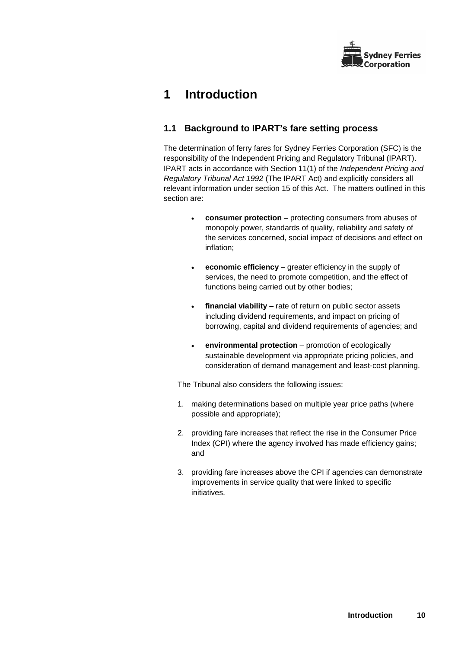

# **1 Introduction**

# **1.1 Background to IPART's fare setting process**

The determination of ferry fares for Sydney Ferries Corporation (SFC) is the responsibility of the Independent Pricing and Regulatory Tribunal (IPART). IPART acts in accordance with Section 11(1) of the *Independent Pricing and Regulatory Tribunal Act 1992* (The IPART Act) and explicitly considers all relevant information under section 15 of this Act. The matters outlined in this section are:

- **consumer protection** protecting consumers from abuses of monopoly power, standards of quality, reliability and safety of the services concerned, social impact of decisions and effect on inflation;
- **economic efficiency** greater efficiency in the supply of services, the need to promote competition, and the effect of functions being carried out by other bodies;
- **financial viability** rate of return on public sector assets including dividend requirements, and impact on pricing of borrowing, capital and dividend requirements of agencies; and
- **environmental protection** promotion of ecologically sustainable development via appropriate pricing policies, and consideration of demand management and least-cost planning.

The Tribunal also considers the following issues:

- 1. making determinations based on multiple year price paths (where possible and appropriate);
- 2. providing fare increases that reflect the rise in the Consumer Price Index (CPI) where the agency involved has made efficiency gains; and
- 3. providing fare increases above the CPI if agencies can demonstrate improvements in service quality that were linked to specific initiatives.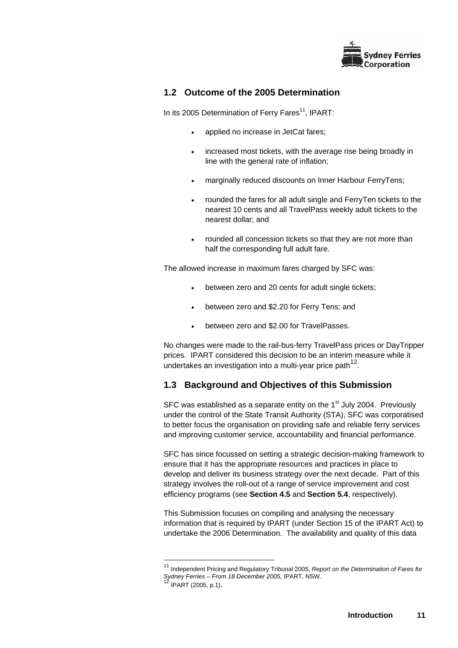

# **1.2 Outcome of the 2005 Determination**

In its 2005 Determination of Ferry Fares $11$ , IPART:

- applied no increase in JetCat fares;
- increased most tickets, with the average rise being broadly in line with the general rate of inflation;
- marginally reduced discounts on Inner Harbour FerryTens;
- rounded the fares for all adult single and FerryTen tickets to the nearest 10 cents and all TravelPass weekly adult tickets to the nearest dollar; and
- rounded all concession tickets so that they are not more than half the corresponding full adult fare.

The allowed increase in maximum fares charged by SFC was:

- between zero and 20 cents for adult single tickets;
- between zero and \$2.20 for Ferry Tens; and
- between zero and \$2.00 for TravelPasses.

No changes were made to the rail-bus-ferry TravelPass prices or DayTripper prices. IPART considered this decision to be an interim measure while it undertakes an investigation into a multi-year price path $^{12}$ .

# **1.3 Background and Objectives of this Submission**

SFC was established as a separate entity on the  $1<sup>st</sup>$  July 2004. Previously under the control of the State Transit Authority (STA), SFC was corporatised to better focus the organisation on providing safe and reliable ferry services and improving customer service, accountability and financial performance.

SFC has since focussed on setting a strategic decision-making framework to ensure that it has the appropriate resources and practices in place to develop and deliver its business strategy over the next decade. Part of this strategy involves the roll-out of a range of service improvement and cost efficiency programs (see **Section 4.5** and **Section 5.4**, respectively).

This Submission focuses on compiling and analysing the necessary information that is required by IPART (under Section 15 of the IPART Act) to undertake the 2006 Determination. The availability and quality of this data

l

<sup>11</sup> Independent Pricing and Regulatory Tribunal 2005, *Report on the Determination of Fares for Sydney Ferries – From 18 December 2005,* IPART, NSW.

<sup>12</sup> IPART (2005, p.1).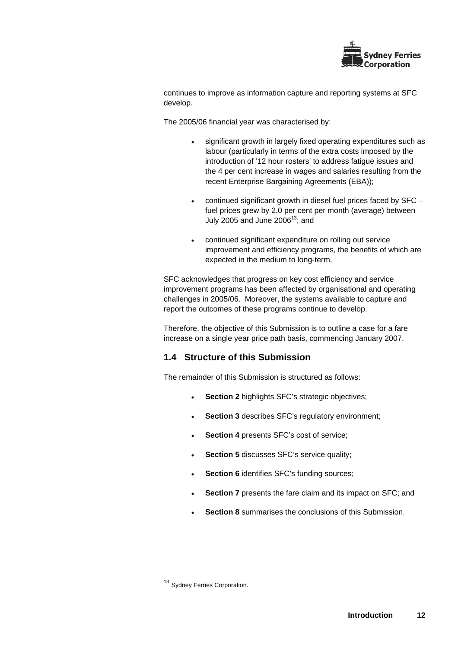

continues to improve as information capture and reporting systems at SFC develop.

The 2005/06 financial year was characterised by:

- significant growth in largely fixed operating expenditures such as labour (particularly in terms of the extra costs imposed by the introduction of '12 hour rosters' to address fatigue issues and the 4 per cent increase in wages and salaries resulting from the recent Enterprise Bargaining Agreements (EBA));
- continued significant growth in diesel fuel prices faced by  $SFC$ fuel prices grew by 2.0 per cent per month (average) between July 2005 and June  $2006^{13}$ ; and
- continued significant expenditure on rolling out service improvement and efficiency programs, the benefits of which are expected in the medium to long-term.

SFC acknowledges that progress on key cost efficiency and service improvement programs has been affected by organisational and operating challenges in 2005/06. Moreover, the systems available to capture and report the outcomes of these programs continue to develop.

Therefore, the objective of this Submission is to outline a case for a fare increase on a single year price path basis, commencing January 2007.

# **1.4 Structure of this Submission**

The remainder of this Submission is structured as follows:

- **Section 2** highlights SFC's strategic objectives;
- **Section 3** describes SFC's regulatory environment;
- **Section 4** presents SFC's cost of service;
- **Section 5** discusses SFC's service quality;
- **Section 6** identifies SFC's funding sources;
- **Section 7** presents the fare claim and its impact on SFC; and
- **Section 8** summarises the conclusions of this Submission.

l

<sup>&</sup>lt;sup>13</sup> Sydney Ferries Corporation.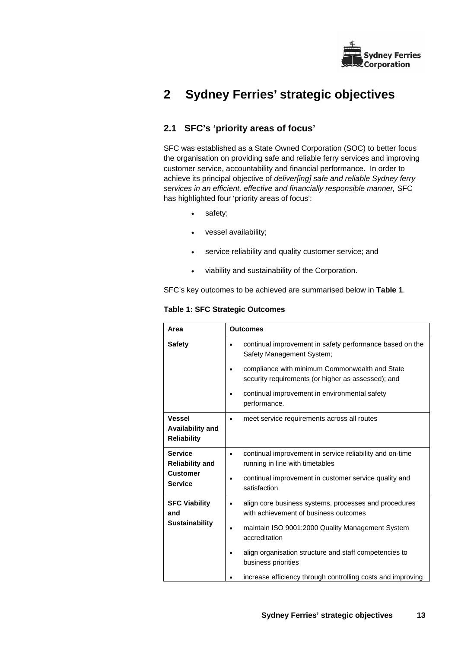

# **2 Sydney Ferries' strategic objectives**

# **2.1 SFC's 'priority areas of focus'**

SFC was established as a State Owned Corporation (SOC) to better focus the organisation on providing safe and reliable ferry services and improving customer service, accountability and financial performance. In order to achieve its principal objective of *deliver[ing] safe and reliable Sydney ferry services in an efficient, effective and financially responsible manner,* SFC has highlighted four 'priority areas of focus':

- safety;
- vessel availability;
- service reliability and quality customer service; and
- viability and sustainability of the Corporation.

SFC's key outcomes to be achieved are summarised below in **Table 1**.

**Table 1: SFC Strategic Outcomes** 

|                                                                               | <b>Outcomes</b>                                                                                                                                                                                                                                                                                                     |
|-------------------------------------------------------------------------------|---------------------------------------------------------------------------------------------------------------------------------------------------------------------------------------------------------------------------------------------------------------------------------------------------------------------|
| <b>Safety</b>                                                                 | continual improvement in safety performance based on the<br>Safety Management System;                                                                                                                                                                                                                               |
|                                                                               | compliance with minimum Commonwealth and State<br>security requirements (or higher as assessed); and                                                                                                                                                                                                                |
|                                                                               | continual improvement in environmental safety<br>performance.                                                                                                                                                                                                                                                       |
| <b>Vessel</b><br>Availability and<br><b>Reliability</b>                       | meet service requirements across all routes                                                                                                                                                                                                                                                                         |
| <b>Service</b><br><b>Reliability and</b><br><b>Customer</b><br><b>Service</b> | continual improvement in service reliability and on-time<br>running in line with timetables<br>continual improvement in customer service quality and<br>satisfaction                                                                                                                                                |
| <b>SFC Viability</b><br>and<br><b>Sustainability</b>                          | align core business systems, processes and procedures<br>with achievement of business outcomes<br>maintain ISO 9001:2000 Quality Management System<br>accreditation<br>align organisation structure and staff competencies to<br>business priorities<br>increase efficiency through controlling costs and improving |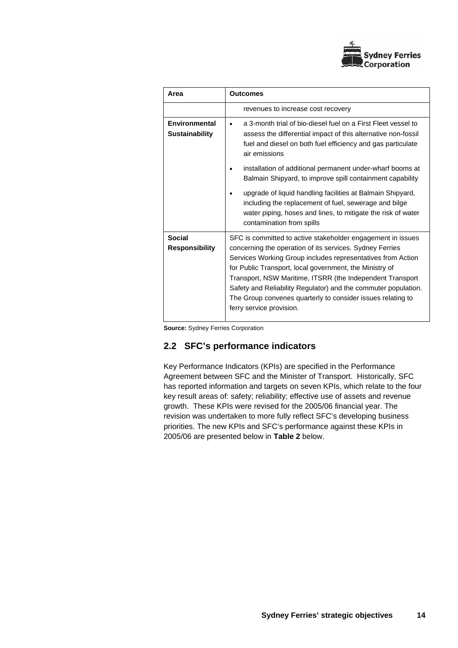

| Area                                   | <b>Outcomes</b>                                                                                                                                                                                                                                                                                                                                                                                                                                                             |
|----------------------------------------|-----------------------------------------------------------------------------------------------------------------------------------------------------------------------------------------------------------------------------------------------------------------------------------------------------------------------------------------------------------------------------------------------------------------------------------------------------------------------------|
|                                        | revenues to increase cost recovery                                                                                                                                                                                                                                                                                                                                                                                                                                          |
| Environmental<br><b>Sustainability</b> | a 3-month trial of bio-diesel fuel on a First Fleet vessel to<br>assess the differential impact of this alternative non-fossil<br>fuel and diesel on both fuel efficiency and gas particulate<br>air emissions                                                                                                                                                                                                                                                              |
|                                        | installation of additional permanent under-wharf booms at<br>Balmain Shipyard, to improve spill containment capability<br>upgrade of liquid handling facilities at Balmain Shipyard,<br>including the replacement of fuel, sewerage and bilge<br>water piping, hoses and lines, to mitigate the risk of water<br>contamination from spills                                                                                                                                  |
| <b>Social</b><br><b>Responsibility</b> | SFC is committed to active stakeholder engagement in issues<br>concerning the operation of its services. Sydney Ferries<br>Services Working Group includes representatives from Action<br>for Public Transport, local government, the Ministry of<br>Transport, NSW Maritime, ITSRR (the Independent Transport<br>Safety and Reliability Regulator) and the commuter population.<br>The Group convenes quarterly to consider issues relating to<br>ferry service provision. |

**Source:** Sydney Ferries Corporation

## **2.2 SFC's performance indicators**

Key Performance Indicators (KPIs) are specified in the Performance Agreement between SFC and the Minister of Transport. Historically, SFC has reported information and targets on seven KPIs, which relate to the four key result areas of: safety; reliability; effective use of assets and revenue growth. These KPIs were revised for the 2005/06 financial year. The revision was undertaken to more fully reflect SFC's developing business priorities. The new KPIs and SFC's performance against these KPIs in 2005/06 are presented below in **Table 2** below.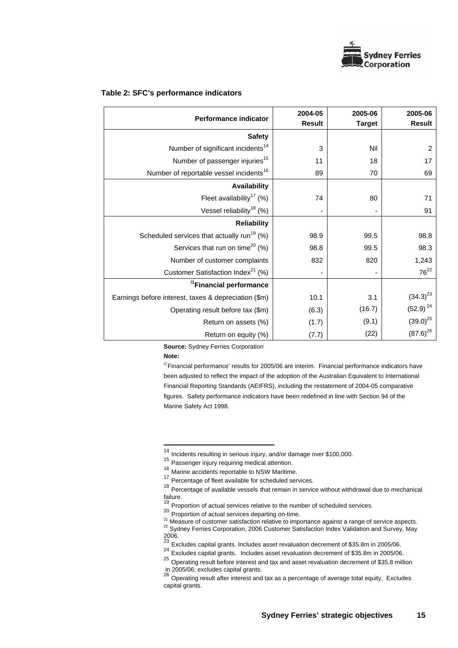

|  |  | Table 2: SFC's performance indicators |  |
|--|--|---------------------------------------|--|
|--|--|---------------------------------------|--|

| <b>Performance indicator</b>                           | 2004-05<br><b>Result</b> | 2005-06<br><b>Target</b> | 2005-06<br><b>Result</b> |
|--------------------------------------------------------|--------------------------|--------------------------|--------------------------|
| <b>Safety</b>                                          |                          |                          |                          |
| Number of significant incidents <sup>14</sup>          | 3                        | Nil                      | $\overline{c}$           |
| Number of passenger injuries <sup>15</sup>             | 11                       | 18                       | 17                       |
| Number of reportable vessel incidents <sup>16</sup>    | 89                       | 70                       | 69                       |
| Availability                                           |                          |                          |                          |
| Fleet availability <sup>17</sup> (%)                   | 74                       | 80                       | 71                       |
| Vessel reliability <sup>18</sup> (%)                   |                          |                          | 91                       |
| <b>Reliability</b>                                     |                          |                          |                          |
| Scheduled services that actually run <sup>19</sup> (%) | 98.9                     | 99.5                     | 98.8                     |
| Services that run on time <sup>20</sup> (%)            | 98.8                     | 99.5                     | 98.3                     |
| Number of customer complaints                          | 832                      | 820                      | 1,243                    |
| Customer Satisfaction Index <sup>21</sup> (%)          |                          |                          | $76^{22}$                |
| <sup>/1</sup> Financial performance                    |                          |                          |                          |
| Earnings before interest, taxes & depreciation (\$m)   | 10.1                     | 3.1                      | $(34.3)^{23}$            |
| Operating result before tax (\$m)                      | (6.3)                    | (16.7)                   | $(52.9)^{24}$            |
| Return on assets (%)                                   | (1.7)                    | (9.1)                    | $(39.0)^{25}$            |
| Return on equity (%)                                   | (7.7)                    | (22)                     | $(87.6)^{26}$            |

**Source:** Sydney Ferries Corporation

**Note:** 

l

 $<sup>11</sup>$ Financial performance' results for 2005/06 are interim. Financial performance indicators have</sup> been adjusted to reflect the impact of the adoption of the Australian Equivalent to International Financial Reporting Standards (AEIFRS), including the restatement of 2004-05 comparative figures. Safety performance indicators have been redefined in line with Section 94 of the Marine Safety Act 1998.

<sup>&</sup>lt;sup>14</sup> Incidents resulting in serious injury, and/or damage over \$100,000.

<sup>15</sup> Passenger injury requiring medical attention.

<sup>16</sup> Marine accidents reportable to NSW Maritime.

<sup>17</sup> Percentage of fleet available for scheduled services.

<sup>&</sup>lt;sup>18</sup> Percentage of available vessels that remain in service without withdrawal due to mechanical failure.

Proportion of actual services relative to the number of scheduled services.

**<sup>20</sup>** Proportion of actual services departing on-time.

<sup>&</sup>lt;sup>21</sup> Measure of customer satisfaction relative to importance against a range of service aspects.<br><sup>22</sup> Sydney Ferries Corporation, 2006 Customer Satisfaction Index Validation and Survey, May 2006.

<sup>23</sup> Excludes capital grants. Includes asset revaluation decrement of \$35.8m in 2005/06.

<sup>24</sup> Excludes capital grants. Includes asset revaluation decrement of \$35.8m in 2005/06.

<sup>25</sup> Operating result before interest and tax and asset revaluation decrement of \$35.8 million

in 2005/06; excludes capital grants.<br><sup>26</sup> Operating result after interest and tax as a percentage of average total equity. Excludes capital grants.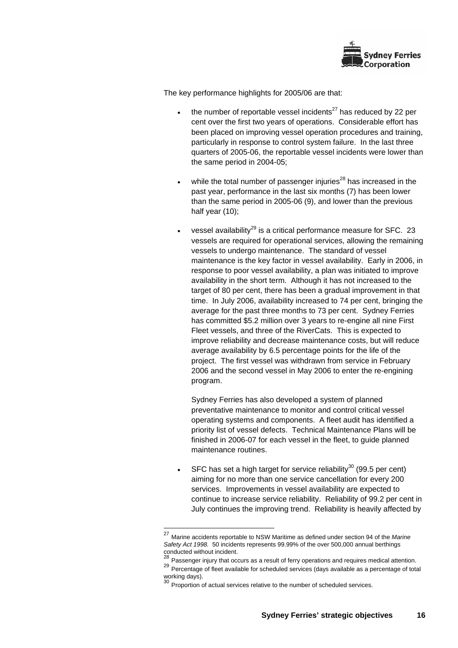

The key performance highlights for 2005/06 are that:

- the number of reportable vessel incidents $^{27}$  has reduced by 22 per cent over the first two years of operations. Considerable effort has been placed on improving vessel operation procedures and training, particularly in response to control system failure. In the last three quarters of 2005-06, the reportable vessel incidents were lower than the same period in 2004-05;
- while the total number of passenger injuries $^{28}$  has increased in the past year, performance in the last six months (7) has been lower than the same period in 2005-06 (9), and lower than the previous half year (10);
- vessel availability<sup>29</sup> is a critical performance measure for SFC. 23 vessels are required for operational services, allowing the remaining vessels to undergo maintenance. The standard of vessel maintenance is the key factor in vessel availability. Early in 2006, in response to poor vessel availability, a plan was initiated to improve availability in the short term. Although it has not increased to the target of 80 per cent, there has been a gradual improvement in that time. In July 2006, availability increased to 74 per cent, bringing the average for the past three months to 73 per cent. Sydney Ferries has committed \$5.2 million over 3 years to re-engine all nine First Fleet vessels, and three of the RiverCats. This is expected to improve reliability and decrease maintenance costs, but will reduce average availability by 6.5 percentage points for the life of the project. The first vessel was withdrawn from service in February 2006 and the second vessel in May 2006 to enter the re-engining program.

Sydney Ferries has also developed a system of planned preventative maintenance to monitor and control critical vessel operating systems and components. A fleet audit has identified a priority list of vessel defects. Technical Maintenance Plans will be finished in 2006-07 for each vessel in the fleet, to guide planned maintenance routines.

SFC has set a high target for service reliability<sup>30</sup> (99.5 per cent) aiming for no more than one service cancellation for every 200 services. Improvements in vessel availability are expected to continue to increase service reliability. Reliability of 99.2 per cent in July continues the improving trend. Reliability is heavily affected by

 $\overline{a}$ 

<sup>27</sup> Marine accidents reportable to NSW Maritime as defined under section 94 of the *Marine Safety Act 1998.* 50 incidents represents 99.99% of the over 500,000 annual berthings

conducted without incident.<br><sup>28</sup> Passenger injury that occurs as a result of ferry operations and requires medical attention.

Percentage of fleet available for scheduled services (days available as a percentage of total working days).<br>30 -

Proportion of actual services relative to the number of scheduled services.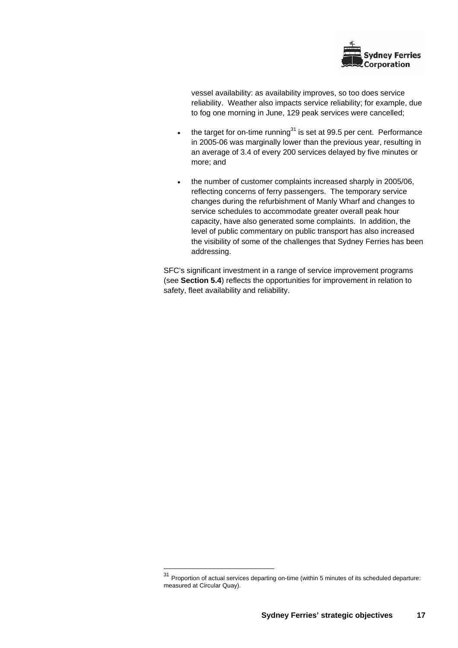

vessel availability: as availability improves, so too does service reliability. Weather also impacts service reliability; for example, due to fog one morning in June, 129 peak services were cancelled;

- the target for on-time running $31$  is set at 99.5 per cent. Performance in 2005-06 was marginally lower than the previous year, resulting in an average of 3.4 of every 200 services delayed by five minutes or more; and
- the number of customer complaints increased sharply in 2005/06, reflecting concerns of ferry passengers. The temporary service changes during the refurbishment of Manly Wharf and changes to service schedules to accommodate greater overall peak hour capacity, have also generated some complaints. In addition, the level of public commentary on public transport has also increased the visibility of some of the challenges that Sydney Ferries has been addressing.

SFC's significant investment in a range of service improvement programs (see **Section 5.4**) reflects the opportunities for improvement in relation to safety, fleet availability and reliability.

l

 $31$  Proportion of actual services departing on-time (within 5 minutes of its scheduled departure: measured at Circular Quay).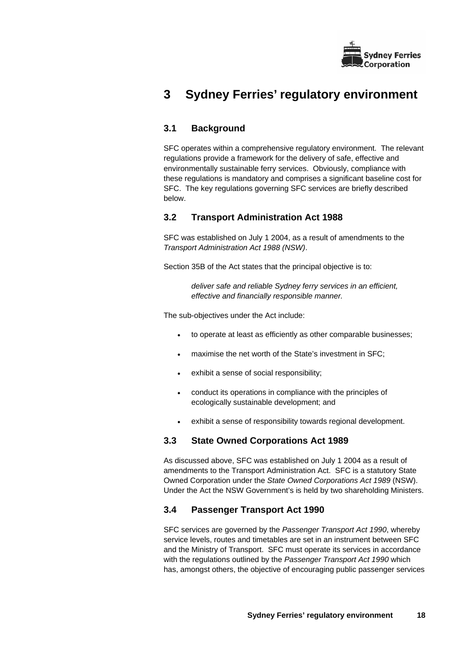

# **3 Sydney Ferries' regulatory environment**

# **3.1 Background**

SFC operates within a comprehensive regulatory environment. The relevant regulations provide a framework for the delivery of safe, effective and environmentally sustainable ferry services. Obviously, compliance with these regulations is mandatory and comprises a significant baseline cost for SFC. The key regulations governing SFC services are briefly described below.

# **3.2 Transport Administration Act 1988**

SFC was established on July 1 2004, as a result of amendments to the *Transport Administration Act 1988 (NSW)*.

Section 35B of the Act states that the principal objective is to:

*deliver safe and reliable Sydney ferry services in an efficient, effective and financially responsible manner.* 

The sub-objectives under the Act include:

- to operate at least as efficiently as other comparable businesses;
- maximise the net worth of the State's investment in SFC;
- exhibit a sense of social responsibility;
- conduct its operations in compliance with the principles of ecologically sustainable development; and
- exhibit a sense of responsibility towards regional development.

# **3.3 State Owned Corporations Act 1989**

As discussed above, SFC was established on July 1 2004 as a result of amendments to the Transport Administration Act. SFC is a statutory State Owned Corporation under the *State Owned Corporations Act 1989* (NSW). Under the Act the NSW Government's is held by two shareholding Ministers.

# **3.4 Passenger Transport Act 1990**

SFC services are governed by the *Passenger Transport Act 1990*, whereby service levels, routes and timetables are set in an instrument between SFC and the Ministry of Transport. SFC must operate its services in accordance with the regulations outlined by the *Passenger Transport Act 1990* which has, amongst others, the objective of encouraging public passenger services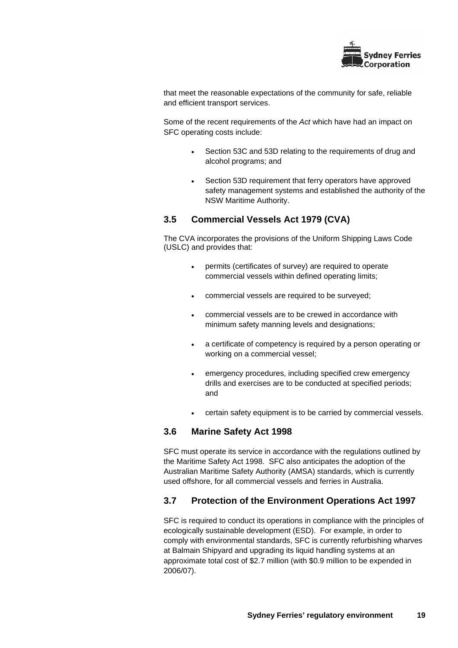

that meet the reasonable expectations of the community for safe, reliable and efficient transport services.

Some of the recent requirements of the *Act* which have had an impact on SFC operating costs include:

- Section 53C and 53D relating to the requirements of drug and alcohol programs; and
- Section 53D requirement that ferry operators have approved safety management systems and established the authority of the NSW Maritime Authority.

# **3.5 Commercial Vessels Act 1979 (CVA)**

The CVA incorporates the provisions of the Uniform Shipping Laws Code (USLC) and provides that:

- permits (certificates of survey) are required to operate commercial vessels within defined operating limits;
- commercial vessels are required to be surveyed;
- commercial vessels are to be crewed in accordance with minimum safety manning levels and designations;
- a certificate of competency is required by a person operating or working on a commercial vessel;
- emergency procedures, including specified crew emergency drills and exercises are to be conducted at specified periods; and
- certain safety equipment is to be carried by commercial vessels.

# **3.6 Marine Safety Act 1998**

SFC must operate its service in accordance with the regulations outlined by the Maritime Safety Act 1998. SFC also anticipates the adoption of the Australian Maritime Safety Authority (AMSA) standards, which is currently used offshore, for all commercial vessels and ferries in Australia.

## **3.7 Protection of the Environment Operations Act 1997**

SFC is required to conduct its operations in compliance with the principles of ecologically sustainable development (ESD). For example, in order to comply with environmental standards, SFC is currently refurbishing wharves at Balmain Shipyard and upgrading its liquid handling systems at an approximate total cost of \$2.7 million (with \$0.9 million to be expended in 2006/07).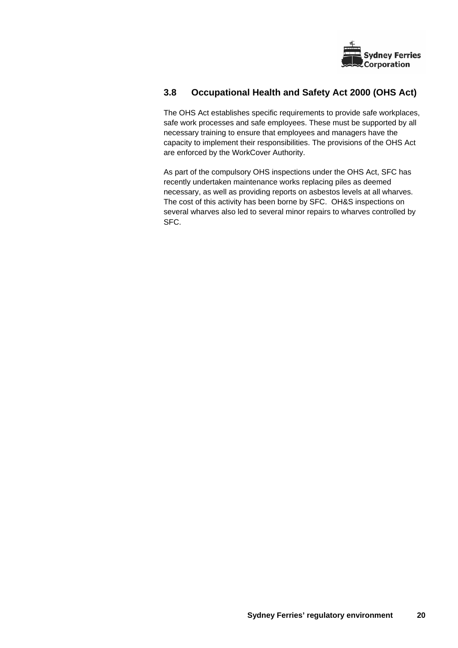

# **3.8 Occupational Health and Safety Act 2000 (OHS Act)**

The OHS Act establishes specific requirements to provide safe workplaces, safe work processes and safe employees. These must be supported by all necessary training to ensure that employees and managers have the capacity to implement their responsibilities. The provisions of the OHS Act are enforced by the WorkCover Authority.

As part of the compulsory OHS inspections under the OHS Act, SFC has recently undertaken maintenance works replacing piles as deemed necessary, as well as providing reports on asbestos levels at all wharves. The cost of this activity has been borne by SFC. OH&S inspections on several wharves also led to several minor repairs to wharves controlled by SFC.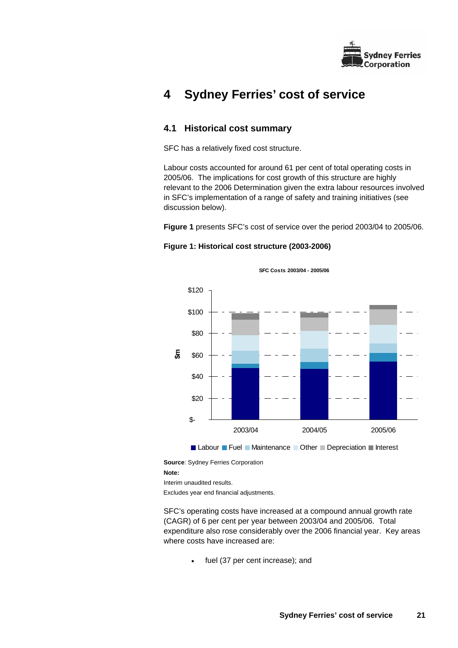

# **4 Sydney Ferries' cost of service**

# **4.1 Historical cost summary**

SFC has a relatively fixed cost structure.

Labour costs accounted for around 61 per cent of total operating costs in 2005/06. The implications for cost growth of this structure are highly relevant to the 2006 Determination given the extra labour resources involved in SFC's implementation of a range of safety and training initiatives (see discussion below).

**Figure 1** presents SFC's cost of service over the period 2003/04 to 2005/06.

**SFC Costs 2003/04 - 2005/06**

### **Figure 1: Historical cost structure (2003-2006)**

\$- \$20 \$40 \$60 \$80 \$100 \$120 2003/04 2004/05 2005/06 **\$m Labour Fuel Maintenance Other Depreciation Interest** 

**Source**: Sydney Ferries Corporation

**Note:** 

Interim unaudited results.

Excludes year end financial adjustments.

SFC's operating costs have increased at a compound annual growth rate (CAGR) of 6 per cent per year between 2003/04 and 2005/06. Total expenditure also rose considerably over the 2006 financial year. Key areas where costs have increased are:

fuel (37 per cent increase); and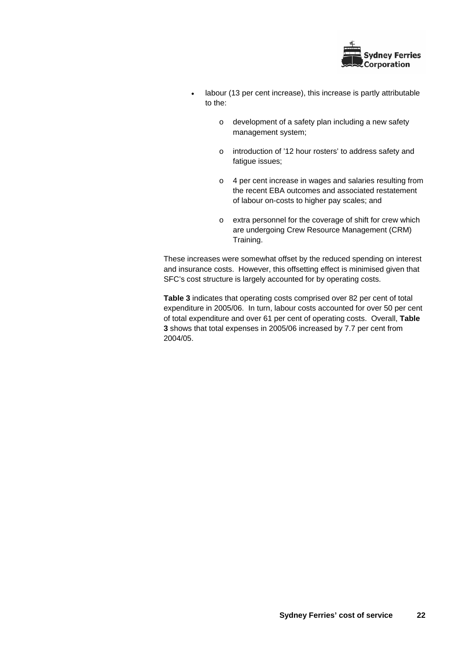

- labour (13 per cent increase), this increase is partly attributable to the:
	- o development of a safety plan including a new safety management system;
	- o introduction of '12 hour rosters' to address safety and fatigue issues;
	- o 4 per cent increase in wages and salaries resulting from the recent EBA outcomes and associated restatement of labour on-costs to higher pay scales; and
	- o extra personnel for the coverage of shift for crew which are undergoing Crew Resource Management (CRM) Training.

These increases were somewhat offset by the reduced spending on interest and insurance costs. However, this offsetting effect is minimised given that SFC's cost structure is largely accounted for by operating costs.

**Table 3** indicates that operating costs comprised over 82 per cent of total expenditure in 2005/06. In turn, labour costs accounted for over 50 per cent of total expenditure and over 61 per cent of operating costs. Overall, **Table 3** shows that total expenses in 2005/06 increased by 7.7 per cent from 2004/05.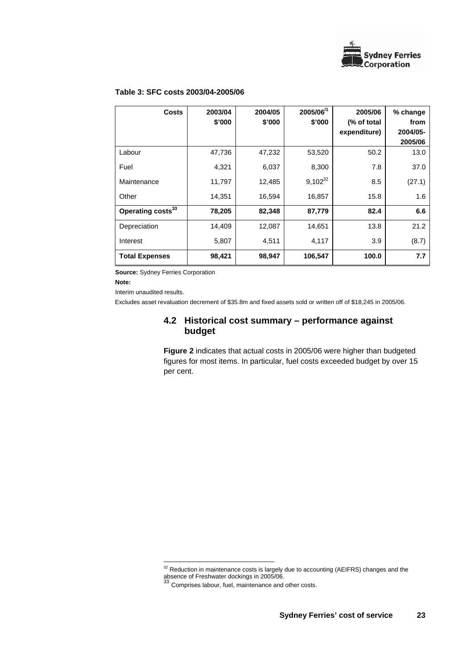

## **Table 3: SFC costs 2003/04-2005/06**

| <b>Costs</b>                  | 2003/04<br>\$'000 | 2004/05<br>\$'000 | 2005/06 $1$<br>\$'000 | 2005/06<br>(% of total<br>expenditure) | % change<br>from<br>2004/05- |
|-------------------------------|-------------------|-------------------|-----------------------|----------------------------------------|------------------------------|
| Labour                        | 47,736            | 47,232            | 53,520                | 50.2                                   | 2005/06<br>13.0              |
|                               |                   |                   |                       |                                        |                              |
| Fuel                          | 4,321             | 6,037             | 8,300                 | 7.8                                    | 37.0                         |
| Maintenance                   | 11,797            | 12,485            | $9,102^{32}$          | 8.5                                    | (27.1)                       |
| Other                         | 14,351            | 16,594            | 16,857                | 15.8                                   | 1.6                          |
| Operating costs <sup>33</sup> | 78,205            | 82,348            | 87,779                | 82.4                                   | 6.6                          |
| Depreciation                  | 14,409            | 12,087            | 14,651                | 13.8                                   | 21.2                         |
| Interest                      | 5,807             | 4,511             | 4,117                 | 3.9                                    | (8.7)                        |
| <b>Total Expenses</b>         | 98,421            | 98,947            | 106,547               | 100.0                                  | 7.7                          |

**Source:** Sydney Ferries Corporation

l

**Note:** 

Interim unaudited results.

Excludes asset revaluation decrement of \$35.8m and fixed assets sold or written off of \$18,245 in 2005/06.

## **4.2 Historical cost summary – performance against budget**

**Figure 2** indicates that actual costs in 2005/06 were higher than budgeted figures for most items. In particular, fuel costs exceeded budget by over 15 per cent.

 $32$  Reduction in maintenance costs is largely due to accounting (AEIFRS) changes and the absence of Freshwater dockings in 2005/06.<br><sup>33</sup> Comprises labour, fuel, maintenance and other costs.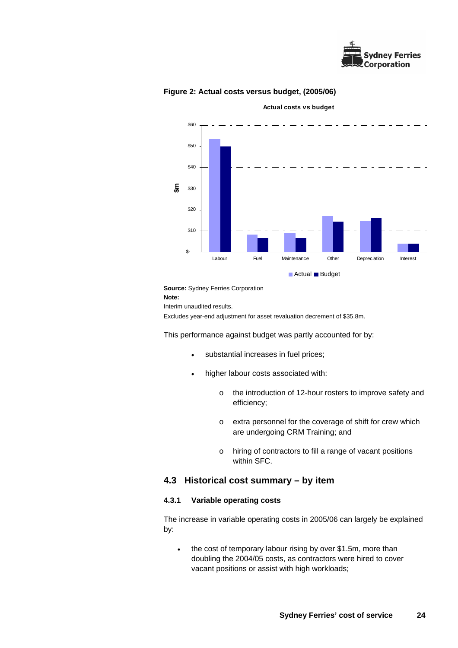



**Actual costs vs budget**

**Figure 2: Actual costs versus budget, (2005/06)** 

**Source:** Sydney Ferries Corporation

**Note:** 

Interim unaudited results.

Excludes year-end adjustment for asset revaluation decrement of \$35.8m.

This performance against budget was partly accounted for by:

- substantial increases in fuel prices;
- higher labour costs associated with:
	- o the introduction of 12-hour rosters to improve safety and efficiency;
	- o extra personnel for the coverage of shift for crew which are undergoing CRM Training; and
	- o hiring of contractors to fill a range of vacant positions within SFC.

## **4.3 Historical cost summary – by item**

### **4.3.1 Variable operating costs**

The increase in variable operating costs in 2005/06 can largely be explained by:

• the cost of temporary labour rising by over \$1.5m, more than doubling the 2004/05 costs, as contractors were hired to cover vacant positions or assist with high workloads;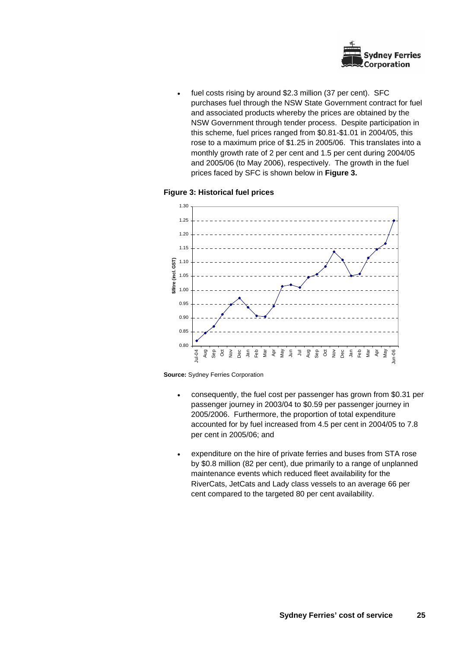

fuel costs rising by around \$2.3 million (37 per cent). SFC purchases fuel through the NSW State Government contract for fuel and associated products whereby the prices are obtained by the NSW Government through tender process. Despite participation in this scheme, fuel prices ranged from \$0.81-\$1.01 in 2004/05, this rose to a maximum price of \$1.25 in 2005/06. This translates into a monthly growth rate of 2 per cent and 1.5 per cent during 2004/05 and 2005/06 (to May 2006), respectively. The growth in the fuel prices faced by SFC is shown below in **Figure 3.**

### **Figure 3: Historical fuel prices**





- consequently, the fuel cost per passenger has grown from \$0.31 per passenger journey in 2003/04 to \$0.59 per passenger journey in 2005/2006. Furthermore, the proportion of total expenditure accounted for by fuel increased from 4.5 per cent in 2004/05 to 7.8 per cent in 2005/06; and
- expenditure on the hire of private ferries and buses from STA rose by \$0.8 million (82 per cent), due primarily to a range of unplanned maintenance events which reduced fleet availability for the RiverCats, JetCats and Lady class vessels to an average 66 per cent compared to the targeted 80 per cent availability.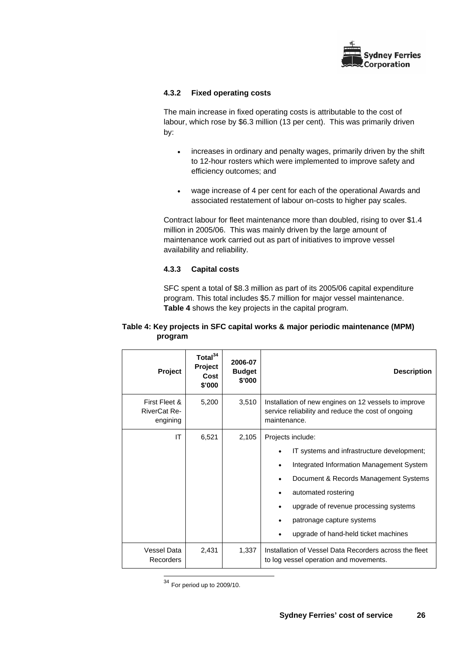

## **4.3.2 Fixed operating costs**

The main increase in fixed operating costs is attributable to the cost of labour, which rose by \$6.3 million (13 per cent). This was primarily driven by:

- increases in ordinary and penalty wages, primarily driven by the shift to 12-hour rosters which were implemented to improve safety and efficiency outcomes; and
- wage increase of 4 per cent for each of the operational Awards and associated restatement of labour on-costs to higher pay scales.

Contract labour for fleet maintenance more than doubled, rising to over \$1.4 million in 2005/06. This was mainly driven by the large amount of maintenance work carried out as part of initiatives to improve vessel availability and reliability.

## **4.3.3 Capital costs**

SFC spent a total of \$8.3 million as part of its 2005/06 capital expenditure program. This total includes \$5.7 million for major vessel maintenance. **Table 4** shows the key projects in the capital program.

|         | Table 4: Key projects in SFC capital works & major periodic maintenance (MPM) |
|---------|-------------------------------------------------------------------------------|
| program |                                                                               |

| Project                                          | Total <sup>34</sup><br>Project<br>Cost<br>\$'000 | 2006-07<br><b>Budget</b><br>\$'000 | <b>Description</b>                                                                                                                                                                                                                                                                        |
|--------------------------------------------------|--------------------------------------------------|------------------------------------|-------------------------------------------------------------------------------------------------------------------------------------------------------------------------------------------------------------------------------------------------------------------------------------------|
| First Fleet &<br><b>RiverCat Re-</b><br>engining | 5,200                                            | 3,510                              | Installation of new engines on 12 vessels to improve<br>service reliability and reduce the cost of ongoing<br>maintenance.                                                                                                                                                                |
| IT                                               | 6,521                                            | 2,105                              | Projects include:<br>IT systems and infrastructure development;<br>Integrated Information Management System<br>Document & Records Management Systems<br>automated rostering<br>upgrade of revenue processing systems<br>patronage capture systems<br>upgrade of hand-held ticket machines |
| Vessel Data<br>Recorders                         | 2,431                                            | 1,337                              | Installation of Vessel Data Recorders across the fleet<br>to log vessel operation and movements.                                                                                                                                                                                          |

l  $34$  For period up to 2009/10.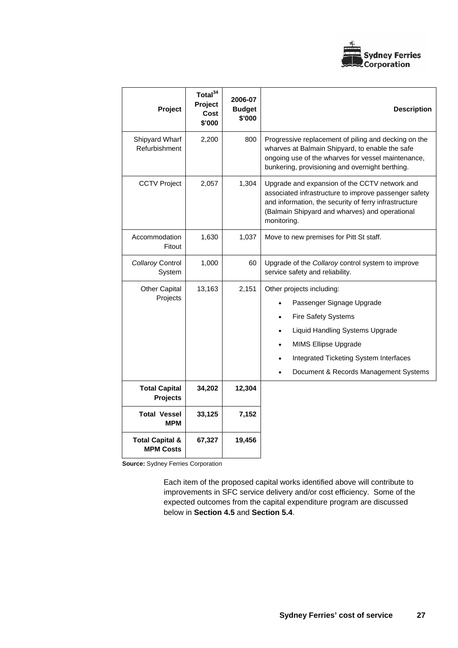

| Project                                        | Total <sup>34</sup><br>Project<br>Cost<br>\$'000 | 2006-07<br><b>Budget</b><br>\$'000 | <b>Description</b>                                                                                                                                                                                                                 |  |
|------------------------------------------------|--------------------------------------------------|------------------------------------|------------------------------------------------------------------------------------------------------------------------------------------------------------------------------------------------------------------------------------|--|
| Shipyard Wharf<br>Refurbishment                | 2,200                                            | 800                                | Progressive replacement of piling and decking on the<br>wharves at Balmain Shipyard, to enable the safe<br>ongoing use of the wharves for vessel maintenance,<br>bunkering, provisioning and overnight berthing.                   |  |
| <b>CCTV Project</b>                            | 2,057                                            | 1,304                              | Upgrade and expansion of the CCTV network and<br>associated infrastructure to improve passenger safety<br>and information, the security of ferry infrastructure<br>(Balmain Shipyard and wharves) and operational<br>monitoring.   |  |
| Accommodation<br>Fitout                        | 1,630                                            | 1,037                              | Move to new premises for Pitt St staff.                                                                                                                                                                                            |  |
| Collaroy Control<br>System                     | 1,000                                            | 60                                 | Upgrade of the Collaroy control system to improve<br>service safety and reliability.                                                                                                                                               |  |
| <b>Other Capital</b><br>Projects               | 13,163                                           | 2,151                              | Other projects including:<br>Passenger Signage Upgrade<br><b>Fire Safety Systems</b><br>Liquid Handling Systems Upgrade<br>MIMS Ellipse Upgrade<br>Integrated Ticketing System Interfaces<br>Document & Records Management Systems |  |
| <b>Total Capital</b><br><b>Projects</b>        | 34,202                                           | 12,304                             |                                                                                                                                                                                                                                    |  |
| <b>Total Vessel</b><br><b>MPM</b>              | 33,125                                           | 7,152                              |                                                                                                                                                                                                                                    |  |
| <b>Total Capital &amp;</b><br><b>MPM Costs</b> | 67,327                                           | 19,456                             |                                                                                                                                                                                                                                    |  |

**Source:** Sydney Ferries Corporation

Each item of the proposed capital works identified above will contribute to improvements in SFC service delivery and/or cost efficiency. Some of the expected outcomes from the capital expenditure program are discussed below in **Section 4.5** and **Section 5.4**.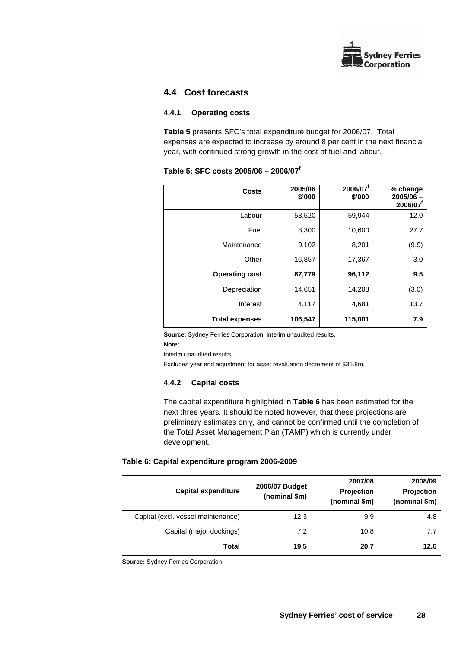

## **4.4 Cost forecasts**

### **4.4.1 Operating costs**

**Table 5** presents SFC's total expenditure budget for 2006/07. Total expenses are expected to increase by around 8 per cent in the next financial year, with continued strong growth in the cost of fuel and labour.

|  | Table 5: SFC costs 2005/06 - 2006/07 <sup>f</sup> |  |
|--|---------------------------------------------------|--|
|  |                                                   |  |

| <b>Costs</b>          | 2005/06<br>\$'000 | 2006/07<br>\$'000 | % change<br>$2005/06 -$<br>2006/07 |
|-----------------------|-------------------|-------------------|------------------------------------|
| Labour                | 53,520            | 59,944            | 12.0                               |
| Fuel                  | 8,300             | 10,600            | 27.7                               |
| Maintenance           | 9,102             | 8,201             | (9.9)                              |
| Other                 | 16,857            | 17,367            | 3.0                                |
| <b>Operating cost</b> | 87,779            | 96,112            | 9.5                                |
| Depreciation          | 14,651            | 14,208            | (3.0)                              |
| Interest              | 4,117             | 4,681             | 13.7                               |
| <b>Total expenses</b> | 106,547           | 115,001           | 7.9                                |

**Source**: Sydney Ferries Corporation, interim unaudited results.

#### **Note:**

Interim unaudited results.

Excludes year end adjustment for asset revaluation decrement of \$35.8m.

## **4.4.2 Capital costs**

The capital expenditure highlighted in **Table 6** has been estimated for the next three years. It should be noted however, that these projections are preliminary estimates only, and cannot be confirmed until the completion of the Total Asset Management Plan (TAMP) which is currently under development.

## **Table 6: Capital expenditure program 2006-2009**

| <b>Capital expenditure</b>         | 2006/07 Budget<br>(nominal \$m) | 2007/08<br>Projection<br>(nominal \$m) | 2008/09<br>Projection<br>(nominal \$m) |
|------------------------------------|---------------------------------|----------------------------------------|----------------------------------------|
| Capital (excl. vessel maintenance) | 12.3                            | 9.9                                    | 4.8                                    |
| Capital (major dockings)           | 7.2                             | 10.8                                   | 7.7                                    |
| Total                              | 19.5                            | 20.7                                   | 12.6                                   |

**Source:** Sydney Ferries Corporation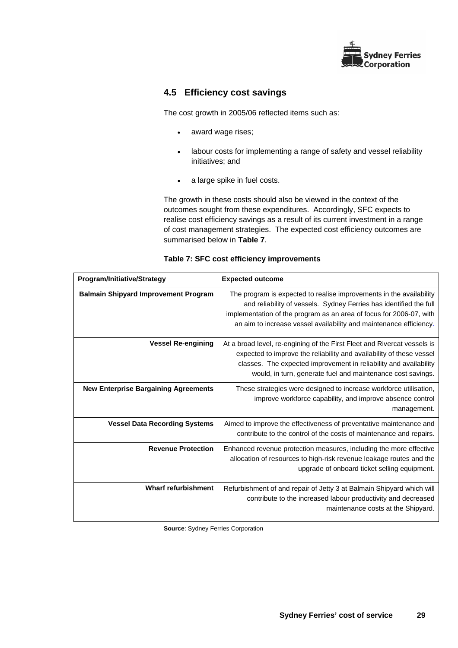

# **4.5 Efficiency cost savings**

The cost growth in 2005/06 reflected items such as:

- award wage rises;
- labour costs for implementing a range of safety and vessel reliability initiatives; and
- a large spike in fuel costs.

The growth in these costs should also be viewed in the context of the outcomes sought from these expenditures. Accordingly, SFC expects to realise cost efficiency savings as a result of its current investment in a range of cost management strategies. The expected cost efficiency outcomes are summarised below in **Table 7**.

| <b>Program/Initiative/Strategy</b>          | <b>Expected outcome</b>                                                                                                                                                                                                                                                                |
|---------------------------------------------|----------------------------------------------------------------------------------------------------------------------------------------------------------------------------------------------------------------------------------------------------------------------------------------|
| <b>Balmain Shipyard Improvement Program</b> | The program is expected to realise improvements in the availability<br>and reliability of vessels. Sydney Ferries has identified the full<br>implementation of the program as an area of focus for 2006-07, with<br>an aim to increase vessel availability and maintenance efficiency. |
| <b>Vessel Re-engining</b>                   | At a broad level, re-engining of the First Fleet and Rivercat vessels is<br>expected to improve the reliability and availability of these vessel<br>classes. The expected improvement in reliability and availability<br>would, in turn, generate fuel and maintenance cost savings.   |
| <b>New Enterprise Bargaining Agreements</b> | These strategies were designed to increase workforce utilisation,<br>improve workforce capability, and improve absence control<br>management.                                                                                                                                          |
| <b>Vessel Data Recording Systems</b>        | Aimed to improve the effectiveness of preventative maintenance and<br>contribute to the control of the costs of maintenance and repairs.                                                                                                                                               |
| <b>Revenue Protection</b>                   | Enhanced revenue protection measures, including the more effective<br>allocation of resources to high-risk revenue leakage routes and the<br>upgrade of onboard ticket selling equipment.                                                                                              |
| <b>Wharf refurbishment</b>                  | Refurbishment of and repair of Jetty 3 at Balmain Shipyard which will<br>contribute to the increased labour productivity and decreased<br>maintenance costs at the Shipyard.                                                                                                           |

| Table 7: SFC cost efficiency improvements |  |
|-------------------------------------------|--|
|-------------------------------------------|--|

**Source: Sydney Ferries Corporation**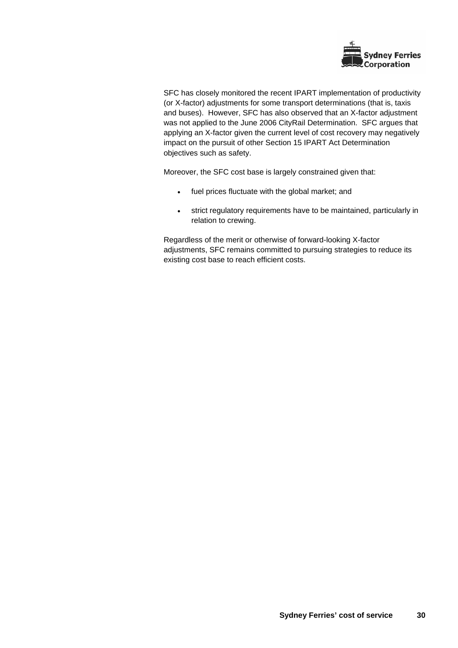

SFC has closely monitored the recent IPART implementation of productivity (or X-factor) adjustments for some transport determinations (that is, taxis and buses). However, SFC has also observed that an X-factor adjustment was not applied to the June 2006 CityRail Determination. SFC argues that applying an X-factor given the current level of cost recovery may negatively impact on the pursuit of other Section 15 IPART Act Determination objectives such as safety.

Moreover, the SFC cost base is largely constrained given that:

- fuel prices fluctuate with the global market; and
- strict regulatory requirements have to be maintained, particularly in relation to crewing.

Regardless of the merit or otherwise of forward-looking X-factor adjustments, SFC remains committed to pursuing strategies to reduce its existing cost base to reach efficient costs.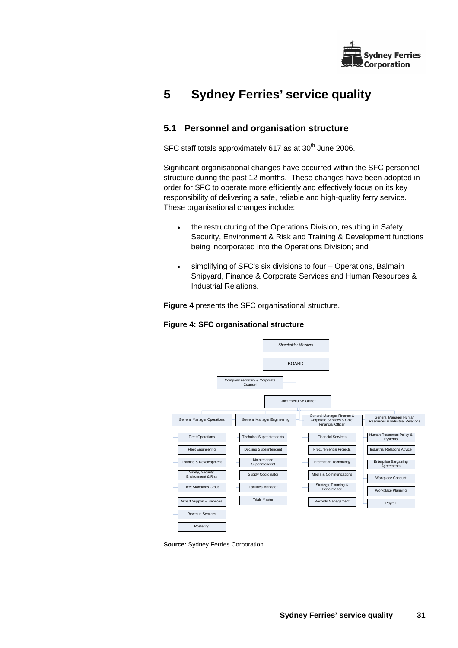

# **5 Sydney Ferries' service quality**

# **5.1 Personnel and organisation structure**

SFC staff totals approximately  $617$  as at  $30<sup>th</sup>$  June 2006.

Significant organisational changes have occurred within the SFC personnel structure during the past 12 months. These changes have been adopted in order for SFC to operate more efficiently and effectively focus on its key responsibility of delivering a safe, reliable and high-quality ferry service. These organisational changes include:

- the restructuring of the Operations Division, resulting in Safety, Security, Environment & Risk and Training & Development functions being incorporated into the Operations Division; and
- simplifying of SFC's six divisions to four Operations, Balmain Shipyard, Finance & Corporate Services and Human Resources & Industrial Relations.

**Figure 4** presents the SFC organisational structure.

## **Figure 4: SFC organisational structure**



**Source:** Sydney Ferries Corporation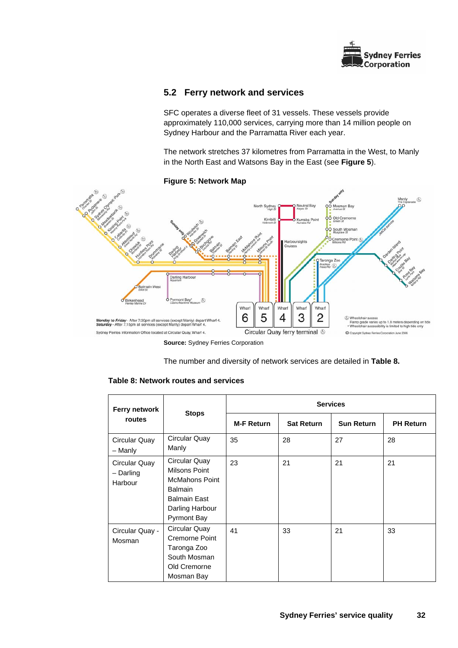

# **5.2 Ferry network and services**

SFC operates a diverse fleet of 31 vessels. These vessels provide approximately 110,000 services, carrying more than 14 million people on Sydney Harbour and the Parramatta River each year.

The network stretches 37 kilometres from Parramatta in the West, to Manly in the North East and Watsons Bay in the East (see **Figure 5**).



### **Figure 5: Network Map**

**Source:** Sydney Ferries Corporation

The number and diversity of network services are detailed in **Table 8.**

| Ferry network                         |                                                                                                                                           | <b>Services</b>   |                   |                   |                  |  |  |
|---------------------------------------|-------------------------------------------------------------------------------------------------------------------------------------------|-------------------|-------------------|-------------------|------------------|--|--|
| routes                                | <b>Stops</b>                                                                                                                              | <b>M-F Return</b> | <b>Sat Return</b> | <b>Sun Return</b> | <b>PH Return</b> |  |  |
| Circular Quay<br>- Manly              | Circular Quay<br>Manly                                                                                                                    | 35                | 28                | 27                | 28               |  |  |
| Circular Quay<br>- Darling<br>Harbour | Circular Quay<br>Milsons Point<br><b>McMahons Point</b><br><b>Balmain</b><br><b>Balmain East</b><br>Darling Harbour<br><b>Pyrmont Bay</b> | 23                | 21                | 21                | 21               |  |  |
| Circular Quay -<br>Mosman             | Circular Quay<br>Cremorne Point<br>Taronga Zoo<br>South Mosman<br>Old Cremorne<br>Mosman Bay                                              | 41                | 33                | 21                | 33               |  |  |

## **Table 8: Network routes and services**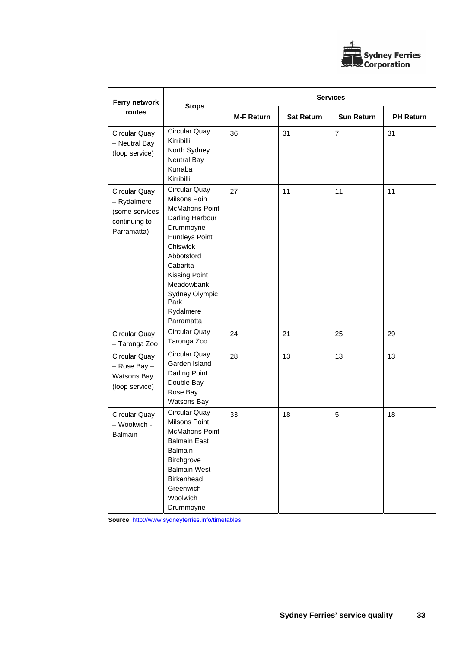

| Ferry network                                                                  |                                                                                                                                                                                                                                    | <b>Services</b>   |                   |                   |                  |  |
|--------------------------------------------------------------------------------|------------------------------------------------------------------------------------------------------------------------------------------------------------------------------------------------------------------------------------|-------------------|-------------------|-------------------|------------------|--|
| routes                                                                         | <b>Stops</b>                                                                                                                                                                                                                       | <b>M-F Return</b> | <b>Sat Return</b> | <b>Sun Return</b> | <b>PH Return</b> |  |
| Circular Quay<br>- Neutral Bay<br>(loop service)                               | Circular Quay<br>Kirribilli<br>North Sydney<br>Neutral Bay<br>Kurraba<br>Kirribilli                                                                                                                                                | 36                | 31                | $\overline{7}$    | 31               |  |
| Circular Quay<br>- Rydalmere<br>(some services<br>continuing to<br>Parramatta) | Circular Quay<br>Milsons Poin<br><b>McMahons Point</b><br>Darling Harbour<br>Drummoyne<br>Huntleys Point<br>Chiswick<br>Abbotsford<br>Cabarita<br>Kissing Point<br>Meadowbank<br>Sydney Olympic<br>Park<br>Rydalmere<br>Parramatta | 27                | 11                | 11                | 11               |  |
| Circular Quay<br>- Taronga Zoo                                                 | Circular Quay<br>Taronga Zoo                                                                                                                                                                                                       | 24                | 21                | 25                | 29               |  |
| Circular Quay<br>- Rose Bay -<br>Watsons Bay<br>(loop service)                 | Circular Quay<br>Garden Island<br>Darling Point<br>Double Bay<br>Rose Bay<br>Watsons Bay                                                                                                                                           | 28                | 13                | 13                | 13               |  |
| Circular Quay<br>- Woolwich -<br>Balmain                                       | Circular Quay<br>Milsons Point<br>McMahons Point<br><b>Balmain East</b><br><b>Balmain</b><br>Birchgrove<br><b>Balmain West</b><br>Birkenhead<br>Greenwich<br>Woolwich<br>Drummoyne                                                 | 33                | 18                | 5                 | 18               |  |

**Source**: http://www.sydneyferries.info/timetables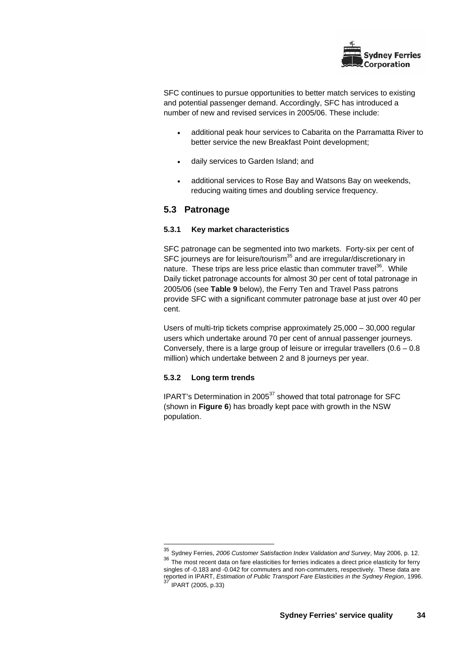

SFC continues to pursue opportunities to better match services to existing and potential passenger demand. Accordingly, SFC has introduced a number of new and revised services in 2005/06. These include:

- additional peak hour services to Cabarita on the Parramatta River to better service the new Breakfast Point development;
- daily services to Garden Island; and
- additional services to Rose Bay and Watsons Bay on weekends, reducing waiting times and doubling service frequency.

## **5.3 Patronage**

### **5.3.1 Key market characteristics**

SFC patronage can be segmented into two markets. Forty-six per cent of SFC journeys are for leisure/tourism<sup>35</sup> and are irregular/discretionary in nature. These trips are less price elastic than commuter travel<sup>36</sup>. While Daily ticket patronage accounts for almost 30 per cent of total patronage in 2005/06 (see **Table 9** below), the Ferry Ten and Travel Pass patrons provide SFC with a significant commuter patronage base at just over 40 per cent.

Users of multi-trip tickets comprise approximately 25,000 – 30,000 regular users which undertake around 70 per cent of annual passenger journeys. Conversely, there is a large group of leisure or irregular travellers  $(0.6 - 0.8)$ million) which undertake between 2 and 8 journeys per year.

## **5.3.2 Long term trends**

l

IPART's Determination in 2005 $37$  showed that total patronage for SFC (shown in **Figure 6**) has broadly kept pace with growth in the NSW population.

<sup>35</sup> Sydney Ferries, *2006 Customer Satisfaction Index Validation and Survey*, May 2006, p. 12.

<sup>36</sup> The most recent data on fare elasticities for ferries indicates a direct price elasticity for ferry singles of -0.183 and -0.042 for commuters and non-commuters, respectively. These data are reported in IPART, *Estimation of Public Transport Fare Elasticities in the Sydney Region*, 1996.<br>The Sydney Region, 1996. <sup>37</sup> IPART (2005, p.33)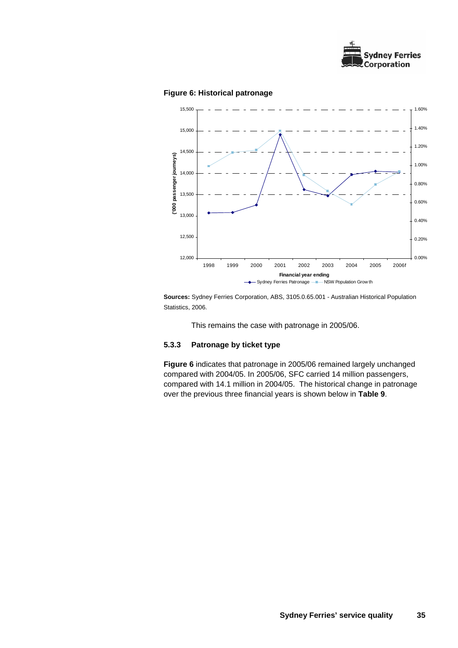

### **Figure 6: Historical patronage**



**Sources:** Sydney Ferries Corporation, ABS, 3105.0.65.001 - Australian Historical Population Statistics, 2006.

This remains the case with patronage in 2005/06.

## **5.3.3 Patronage by ticket type**

**Figure 6** indicates that patronage in 2005/06 remained largely unchanged compared with 2004/05. In 2005/06, SFC carried 14 million passengers, compared with 14.1 million in 2004/05. The historical change in patronage over the previous three financial years is shown below in **Table 9**.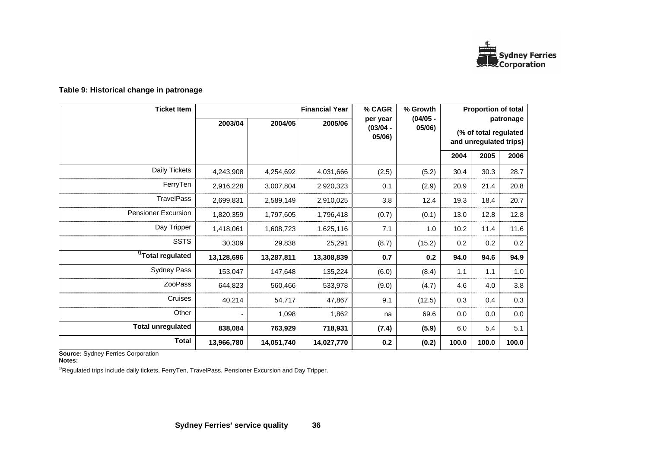

| <b>Ticket Item</b>            |            |            | <b>Financial Year</b> | % CAGR                           | % Growth             |                                                              | <b>Proportion of total</b> |       |  |
|-------------------------------|------------|------------|-----------------------|----------------------------------|----------------------|--------------------------------------------------------------|----------------------------|-------|--|
|                               | 2003/04    | 2004/05    | 2005/06               | per year<br>$(03/04 -$<br>05/06) | $(04/05 -$<br>05/06) | patronage<br>(% of total regulated<br>and unregulated trips) |                            |       |  |
|                               |            |            |                       |                                  |                      | 2004                                                         | 2005                       | 2006  |  |
| Daily Tickets                 | 4,243,908  | 4,254,692  | 4,031,666             | (2.5)                            | (5.2)                | 30.4                                                         | 30.3                       | 28.7  |  |
| FerryTen                      | 2,916,228  | 3,007,804  | 2,920,323             | 0.1                              | (2.9)                | 20.9                                                         | 21.4                       | 20.8  |  |
| <b>TravelPass</b>             | 2,699,831  | 2,589,149  | 2,910,025             | 3.8                              | 12.4                 | 19.3                                                         | 18.4                       | 20.7  |  |
| <b>Pensioner Excursion</b>    | 1,820,359  | 1,797,605  | 1,796,418             | (0.7)                            | (0.1)                | 13.0                                                         | 12.8                       | 12.8  |  |
| Day Tripper                   | 1,418,061  | 1,608,723  | 1,625,116             | 7.1                              | 1.0                  | 10.2                                                         | 11.4                       | 11.6  |  |
| <b>SSTS</b>                   | 30,309     | 29,838     | 25,291                | (8.7)                            | (15.2)               | 0.2                                                          | 0.2                        | 0.2   |  |
| <sup>/1</sup> Total regulated | 13,128,696 | 13,287,811 | 13,308,839            | 0.7                              | 0.2                  | 94.0                                                         | 94.6                       | 94.9  |  |
| <b>Sydney Pass</b>            | 153,047    | 147,648    | 135,224               | (6.0)                            | (8.4)                | 1.1                                                          | 1.1                        | 1.0   |  |
| <b>ZooPass</b>                | 644,823    | 560,466    | 533,978               | (9.0)                            | (4.7)                | 4.6                                                          | 4.0                        | 3.8   |  |
| Cruises                       | 40,214     | 54,717     | 47,867                | 9.1                              | (12.5)               | 0.3                                                          | 0.4                        | 0.3   |  |
| Other                         |            | 1,098      | 1,862                 | na                               | 69.6                 | 0.0                                                          | 0.0                        | 0.0   |  |
| <b>Total unregulated</b>      | 838,084    | 763,929    | 718,931               | (7.4)                            | (5.9)                | 6.0                                                          | 5.4                        | 5.1   |  |
| <b>Total</b>                  | 13,966,780 | 14,051,740 | 14,027,770            | 0.2                              | (0.2)                | 100.0                                                        | 100.0                      | 100.0 |  |

## **Table 9: Historical change in patronage**

**Source:** Sydney Ferries Corporation **Notes:** 

 $1/$ Regulated trips include daily tickets, FerryTen, TravelPass, Pensioner Excursion and Day Tripper.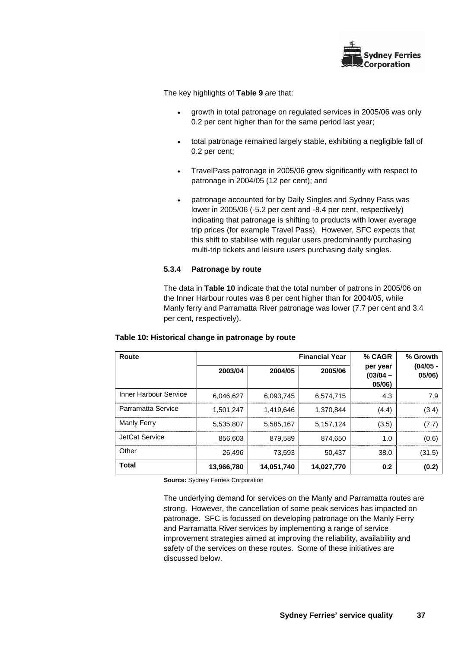

The key highlights of **Table 9** are that:

- growth in total patronage on regulated services in 2005/06 was only 0.2 per cent higher than for the same period last year;
- total patronage remained largely stable, exhibiting a negligible fall of 0.2 per cent;
- TravelPass patronage in 2005/06 grew significantly with respect to patronage in 2004/05 (12 per cent); and
- patronage accounted for by Daily Singles and Sydney Pass was lower in 2005/06 (-5.2 per cent and -8.4 per cent, respectively) indicating that patronage is shifting to products with lower average trip prices (for example Travel Pass). However, SFC expects that this shift to stabilise with regular users predominantly purchasing multi-trip tickets and leisure users purchasing daily singles.

## **5.3.4 Patronage by route**

The data in **Table 10** indicate that the total number of patrons in 2005/06 on the Inner Harbour routes was 8 per cent higher than for 2004/05, while Manly ferry and Parramatta River patronage was lower (7.7 per cent and 3.4 per cent, respectively).

# **Table 10: Historical change in patronage by route**

| Route                 |            | <b>Financial Year</b> | % CAGR     | % Growth                         |                      |
|-----------------------|------------|-----------------------|------------|----------------------------------|----------------------|
|                       | 2003/04    | 2004/05               | 2005/06    | per year<br>$(03/04 -$<br>05/06) | $(04/05 -$<br>05/06) |
| Inner Harbour Service | 6.046.627  | 6.093.745             | 6.574.715  | 4.3                              | 7.9                  |
| Parramatta Service    | 1.501.247  | 1.419.646             | 1.370.844  | (4.4)                            | (3.4)                |
| Manly Ferry           | 5,535,807  | 5,585,167             | 5,157,124  | (3.5)                            | (7.7)                |
| JetCat Service        | 856,603    | 879,589               | 874.650    | 1.0                              | (0.6)                |
| Other                 | 26.496     | 73.593                | 50,437     | 38.0                             | (31.5)               |
| <b>Total</b>          | 13,966,780 | 14,051,740            | 14,027,770 | 0.2                              | (0.2)                |

**Source:** Sydney Ferries Corporation

The underlying demand for services on the Manly and Parramatta routes are strong. However, the cancellation of some peak services has impacted on patronage. SFC is focussed on developing patronage on the Manly Ferry and Parramatta River services by implementing a range of service improvement strategies aimed at improving the reliability, availability and safety of the services on these routes. Some of these initiatives are discussed below.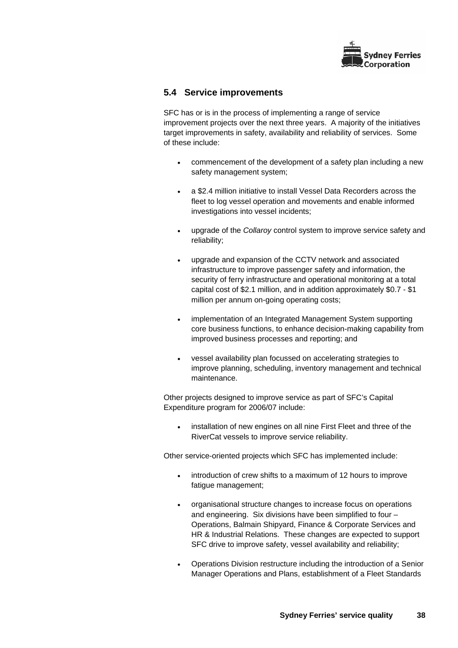

## **5.4 Service improvements**

SFC has or is in the process of implementing a range of service improvement projects over the next three years. A majority of the initiatives target improvements in safety, availability and reliability of services. Some of these include:

- commencement of the development of a safety plan including a new safety management system;
- a \$2.4 million initiative to install Vessel Data Recorders across the fleet to log vessel operation and movements and enable informed investigations into vessel incidents;
- upgrade of the *Collaroy* control system to improve service safety and reliability;
- upgrade and expansion of the CCTV network and associated infrastructure to improve passenger safety and information, the security of ferry infrastructure and operational monitoring at a total capital cost of \$2.1 million, and in addition approximately \$0.7 - \$1 million per annum on-going operating costs;
- implementation of an Integrated Management System supporting core business functions, to enhance decision-making capability from improved business processes and reporting; and
- vessel availability plan focussed on accelerating strategies to improve planning, scheduling, inventory management and technical maintenance.

Other projects designed to improve service as part of SFC's Capital Expenditure program for 2006/07 include:

installation of new engines on all nine First Fleet and three of the RiverCat vessels to improve service reliability.

Other service-oriented projects which SFC has implemented include:

- introduction of crew shifts to a maximum of 12 hours to improve fatigue management;
- organisational structure changes to increase focus on operations and engineering. Six divisions have been simplified to four – Operations, Balmain Shipyard, Finance & Corporate Services and HR & Industrial Relations. These changes are expected to support SFC drive to improve safety, vessel availability and reliability;
- Operations Division restructure including the introduction of a Senior Manager Operations and Plans, establishment of a Fleet Standards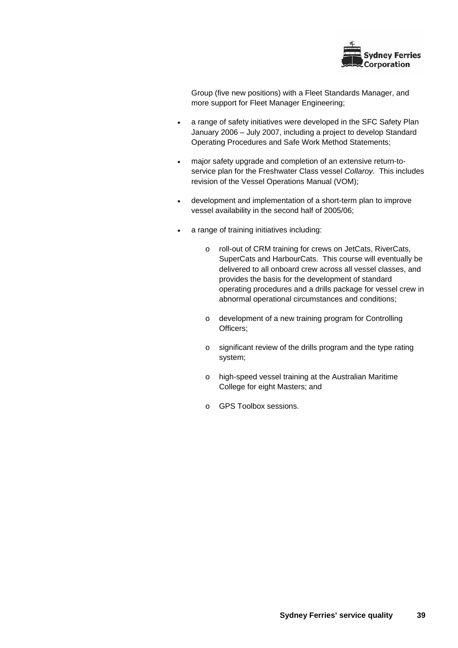

Group (five new positions) with a Fleet Standards Manager, and more support for Fleet Manager Engineering;

- a range of safety initiatives were developed in the SFC Safety Plan January 2006 – July 2007, including a project to develop Standard Operating Procedures and Safe Work Method Statements;
- major safety upgrade and completion of an extensive return-toservice plan for the Freshwater Class vessel *Collaroy*. This includes revision of the Vessel Operations Manual (VOM);
- development and implementation of a short-term plan to improve vessel availability in the second half of 2005/06;
- a range of training initiatives including:
	- o roll-out of CRM training for crews on JetCats, RiverCats, SuperCats and HarbourCats. This course will eventually be delivered to all onboard crew across all vessel classes, and provides the basis for the development of standard operating procedures and a drills package for vessel crew in abnormal operational circumstances and conditions;
	- o development of a new training program for Controlling Officers;
	- o significant review of the drills program and the type rating system;
	- o high-speed vessel training at the Australian Maritime College for eight Masters; and
	- o GPS Toolbox sessions.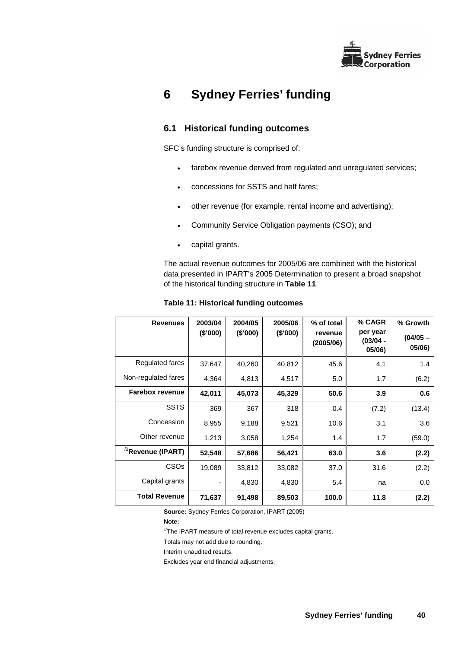

# **6 Sydney Ferries' funding**

# **6.1 Historical funding outcomes**

SFC's funding structure is comprised of:

- farebox revenue derived from regulated and unregulated services;
- concessions for SSTS and half fares;
- other revenue (for example, rental income and advertising);
- Community Service Obligation payments (CSO); and
- capital grants.

The actual revenue outcomes for 2005/06 are combined with the historical data presented in IPART's 2005 Determination to present a broad snapshot of the historical funding structure in **Table 11**.

| <b>Revenues</b>               | 2003/04<br>(\$'000) | 2004/05<br>(\$'000) | 2005/06<br>(\$'000) | % of total<br>revenue<br>(2005/06) | % CAGR<br>per year<br>$(03/04 -$<br>05/06) | % Growth<br>$(04/05 -$<br>05/06) |
|-------------------------------|---------------------|---------------------|---------------------|------------------------------------|--------------------------------------------|----------------------------------|
| Regulated fares               | 37,647              | 40,260              | 40,812              | 45.6                               | 4.1                                        | 1.4                              |
| Non-regulated fares           | 4,364               | 4,813               | 4,517               | 5.0                                | 1.7                                        | (6.2)                            |
| <b>Farebox revenue</b>        | 42,011              | 45,073              | 45,329              | 50.6                               | 3.9                                        | 0.6                              |
| <b>SSTS</b>                   | 369                 | 367                 | 318                 | 0.4                                | (7.2)                                      | (13.4)                           |
| Concession                    | 8,955               | 9,188               | 9,521               | 10.6                               | 3.1                                        | 3.6                              |
| Other revenue                 | 1,213               | 3,058               | 1,254               | 1.4                                | 1.7                                        | (59.0)                           |
| <sup>/1</sup> Revenue (IPART) | 52,548              | 57,686              | 56,421              | 63.0                               | 3.6                                        | (2.2)                            |
| <b>CSOs</b>                   | 19,089              | 33,812              | 33,082              | 37.0                               | 31.6                                       | (2.2)                            |
| Capital grants                |                     | 4,830               | 4,830               | 5.4                                | na                                         | 0.0                              |
| <b>Total Revenue</b>          | 71,637              | 91,498              | 89,503              | 100.0                              | 11.8                                       | (2.2)                            |

#### **Table 11: Historical funding outcomes**

**Source:** Sydney Ferries Corporation, IPART (2005)

**Note:** 

 $1/T$ he IPART measure of total revenue excludes capital grants.

Totals may not add due to rounding.

Interim unaudited results.

Excludes year end financial adjustments.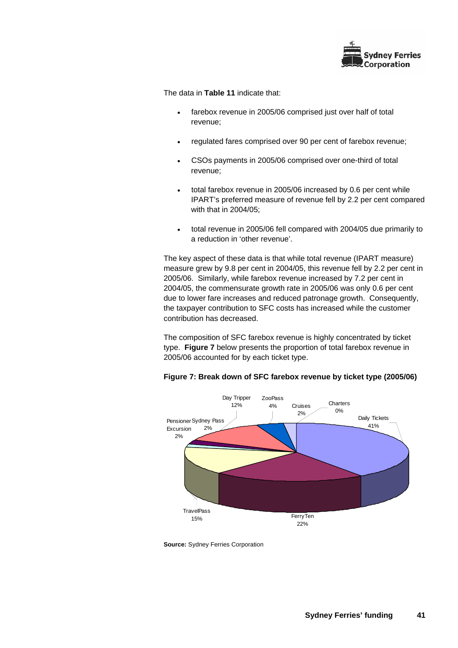

The data in **Table 11** indicate that:

- farebox revenue in 2005/06 comprised just over half of total revenue;
- regulated fares comprised over 90 per cent of farebox revenue;
- CSOs payments in 2005/06 comprised over one-third of total revenue;
- total farebox revenue in 2005/06 increased by 0.6 per cent while IPART's preferred measure of revenue fell by 2.2 per cent compared with that in 2004/05;
- total revenue in 2005/06 fell compared with 2004/05 due primarily to a reduction in 'other revenue'.

The key aspect of these data is that while total revenue (IPART measure) measure grew by 9.8 per cent in 2004/05, this revenue fell by 2.2 per cent in 2005/06. Similarly, while farebox revenue increased by 7.2 per cent in 2004/05, the commensurate growth rate in 2005/06 was only 0.6 per cent due to lower fare increases and reduced patronage growth. Consequently, the taxpayer contribution to SFC costs has increased while the customer contribution has decreased.

The composition of SFC farebox revenue is highly concentrated by ticket type. **Figure 7** below presents the proportion of total farebox revenue in 2005/06 accounted for by each ticket type.



**Figure 7: Break down of SFC farebox revenue by ticket type (2005/06)** 

**Source:** Sydney Ferries Corporation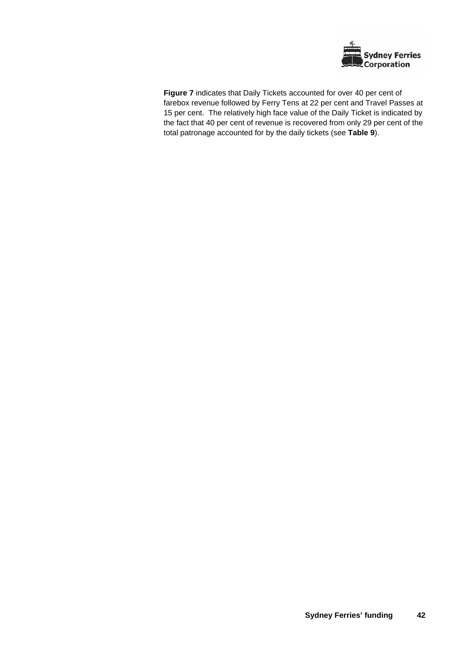

**Figure 7** indicates that Daily Tickets accounted for over 40 per cent of farebox revenue followed by Ferry Tens at 22 per cent and Travel Passes at 15 per cent. The relatively high face value of the Daily Ticket is indicated by the fact that 40 per cent of revenue is recovered from only 29 per cent of the total patronage accounted for by the daily tickets (see **Table 9**).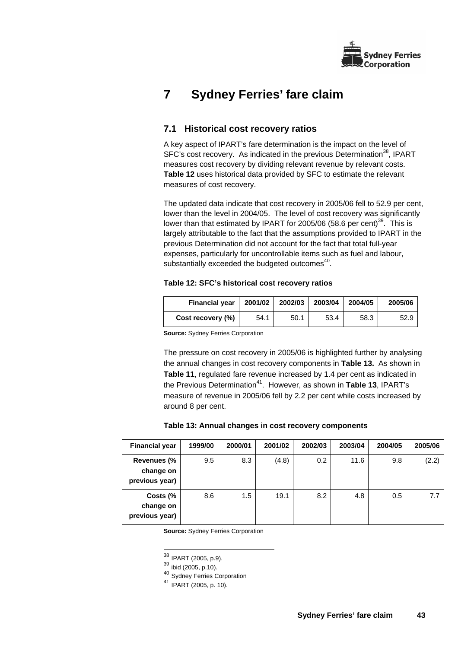

# **7 Sydney Ferries' fare claim**

# **7.1 Historical cost recovery ratios**

A key aspect of IPART's fare determination is the impact on the level of SFC's cost recovery. As indicated in the previous Determination<sup>38</sup>, IPART measures cost recovery by dividing relevant revenue by relevant costs. **Table 12** uses historical data provided by SFC to estimate the relevant measures of cost recovery.

The updated data indicate that cost recovery in 2005/06 fell to 52.9 per cent, lower than the level in 2004/05. The level of cost recovery was significantly lower than that estimated by IPART for 2005/06 (58.6 per cent)<sup>39</sup>. This is largely attributable to the fact that the assumptions provided to IPART in the previous Determination did not account for the fact that total full-year expenses, particularly for uncontrollable items such as fuel and labour, substantially exceeded the budgeted outcomes $40$ .

## **Table 12: SFC's historical cost recovery ratios**

| <b>Financial year</b> | 2001/02 | 2002/03 | 2003/04 | 2004/05 | 2005/06 |
|-----------------------|---------|---------|---------|---------|---------|
| Cost recovery (%)     | 54.1    | 50.1    | 53.4    | 58.3    | 52.9    |

**Source:** Sydney Ferries Corporation

The pressure on cost recovery in 2005/06 is highlighted further by analysing the annual changes in cost recovery components in **Table 13.** As shown in **Table 11**, regulated fare revenue increased by 1.4 per cent as indicated in the Previous Determination<sup>41</sup>. However, as shown in Table 13, IPART's measure of revenue in 2005/06 fell by 2.2 per cent while costs increased by around 8 per cent.

## **Table 13: Annual changes in cost recovery components**

| <b>Financial year</b>                             | 1999/00 | 2000/01 | 2001/02 | 2002/03 | 2003/04 | 2004/05 | 2005/06 |
|---------------------------------------------------|---------|---------|---------|---------|---------|---------|---------|
| <b>Revenues (%</b><br>change on<br>previous year) | 9.5     | 8.3     | (4.8)   | 0.2     | 11.6    | 9.8     | (2.2)   |
| Costs (%<br>change on<br>previous year)           | 8.6     | 1.5     | 19.1    | 8.2     | 4.8     | 0.5     | 7.7     |

**Source:** Sydney Ferries Corporation

 $39$  ibid (2005, p.10).

40 Sydney Ferries Corporation

l <sup>38</sup> IPART (2005, p.9).

<sup>41</sup> IPART (2005, p. 10).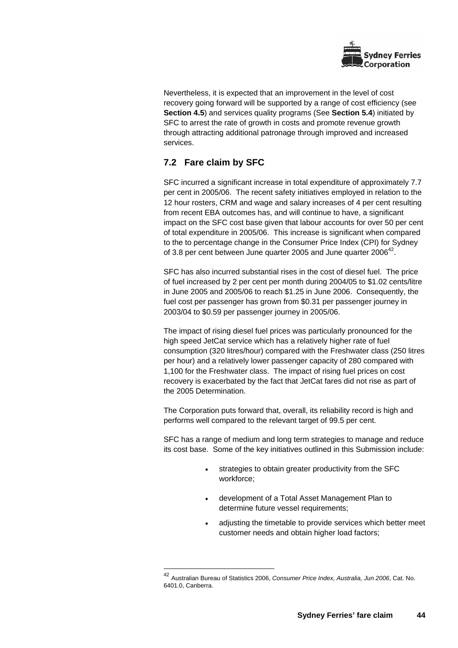

Nevertheless, it is expected that an improvement in the level of cost recovery going forward will be supported by a range of cost efficiency (see **Section 4.5**) and services quality programs (See **Section 5.4**) initiated by SFC to arrest the rate of growth in costs and promote revenue growth through attracting additional patronage through improved and increased services.

# **7.2 Fare claim by SFC**

SFC incurred a significant increase in total expenditure of approximately 7.7 per cent in 2005/06. The recent safety initiatives employed in relation to the 12 hour rosters, CRM and wage and salary increases of 4 per cent resulting from recent EBA outcomes has, and will continue to have, a significant impact on the SFC cost base given that labour accounts for over 50 per cent of total expenditure in 2005/06. This increase is significant when compared to the to percentage change in the Consumer Price Index (CPI) for Sydney of 3.8 per cent between June quarter 2005 and June quarter  $2006^{42}$ .

SFC has also incurred substantial rises in the cost of diesel fuel. The price of fuel increased by 2 per cent per month during 2004/05 to \$1.02 cents/litre in June 2005 and 2005/06 to reach \$1.25 in June 2006. Consequently, the fuel cost per passenger has grown from \$0.31 per passenger journey in 2003/04 to \$0.59 per passenger journey in 2005/06.

The impact of rising diesel fuel prices was particularly pronounced for the high speed JetCat service which has a relatively higher rate of fuel consumption (320 litres/hour) compared with the Freshwater class (250 litres per hour) and a relatively lower passenger capacity of 280 compared with 1,100 for the Freshwater class. The impact of rising fuel prices on cost recovery is exacerbated by the fact that JetCat fares did not rise as part of the 2005 Determination.

The Corporation puts forward that, overall, its reliability record is high and performs well compared to the relevant target of 99.5 per cent.

SFC has a range of medium and long term strategies to manage and reduce its cost base. Some of the key initiatives outlined in this Submission include:

- strategies to obtain greater productivity from the SFC workforce;
- development of a Total Asset Management Plan to determine future vessel requirements;
- adjusting the timetable to provide services which better meet customer needs and obtain higher load factors;

l <sup>42</sup> Australian Bureau of Statistics 2006, *Consumer Price Index, Australia, Jun 2006*, Cat. No. 6401.0, Canberra.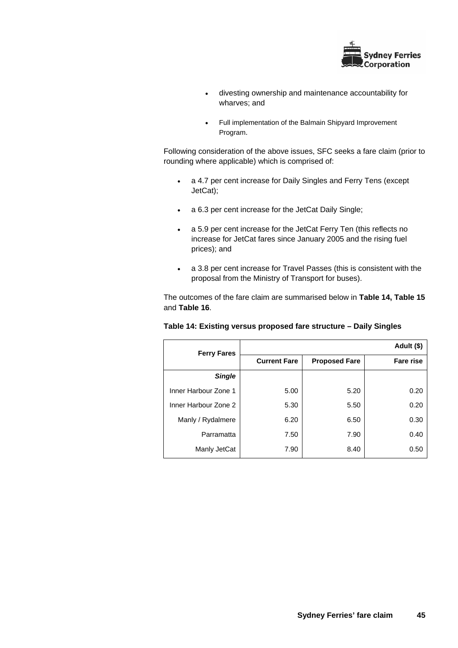

- divesting ownership and maintenance accountability for wharves; and
- Full implementation of the Balmain Shipyard Improvement Program.

Following consideration of the above issues, SFC seeks a fare claim (prior to rounding where applicable) which is comprised of:

- a 4.7 per cent increase for Daily Singles and Ferry Tens (except JetCat);
- a 6.3 per cent increase for the JetCat Daily Single;
- a 5.9 per cent increase for the JetCat Ferry Ten (this reflects no increase for JetCat fares since January 2005 and the rising fuel prices); and
- a 3.8 per cent increase for Travel Passes (this is consistent with the proposal from the Ministry of Transport for buses).

The outcomes of the fare claim are summarised below in **Table 14, Table 15** and **Table 16**.

| <b>Ferry Fares</b>   |                     |                      | Adult (\$)       |
|----------------------|---------------------|----------------------|------------------|
|                      | <b>Current Fare</b> | <b>Proposed Fare</b> | <b>Fare rise</b> |
| <b>Single</b>        |                     |                      |                  |
| Inner Harbour Zone 1 | 5.00                | 5.20                 | 0.20             |
| Inner Harbour Zone 2 | 5.30                | 5.50                 | 0.20             |
| Manly / Rydalmere    | 6.20                | 6.50                 | 0.30             |
| Parramatta           | 7.50                | 7.90                 | 0.40             |
| Manly JetCat         | 7.90                | 8.40                 | 0.50             |

#### **Table 14: Existing versus proposed fare structure – Daily Singles**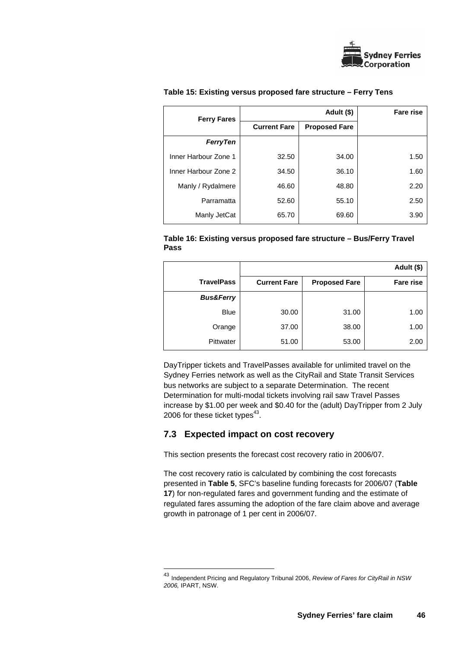

| <b>Ferry Fares</b>   | Adult (\$)          |                      |      |
|----------------------|---------------------|----------------------|------|
|                      | <b>Current Fare</b> | <b>Proposed Fare</b> |      |
| <b>FerryTen</b>      |                     |                      |      |
| Inner Harbour Zone 1 | 32.50               | 34.00                | 1.50 |
| Inner Harbour Zone 2 | 34.50               | 36.10                | 1.60 |
| Manly / Rydalmere    | 46.60               | 48.80                | 2.20 |
| Parramatta           | 52.60               | 55.10                | 2.50 |
| Manly JetCat         | 65.70               | 69.60                | 3.90 |

### **Table 15: Existing versus proposed fare structure – Ferry Tens**

## **Table 16: Existing versus proposed fare structure – Bus/Ferry Travel Pass**

|                      |                     |                      | Adult (\$)       |
|----------------------|---------------------|----------------------|------------------|
| <b>TravelPass</b>    | <b>Current Fare</b> | <b>Proposed Fare</b> | <b>Fare rise</b> |
| <b>Bus&amp;Ferry</b> |                     |                      |                  |
| <b>Blue</b>          | 30.00               | 31.00                | 1.00             |
| Orange               | 37.00               | 38.00                | 1.00             |
| Pittwater            | 51.00               | 53.00                | 2.00             |

DayTripper tickets and TravelPasses available for unlimited travel on the Sydney Ferries network as well as the CityRail and State Transit Services bus networks are subject to a separate Determination. The recent Determination for multi-modal tickets involving rail saw Travel Passes increase by \$1.00 per week and \$0.40 for the (adult) DayTripper from 2 July 2006 for these ticket types $43$ .

# **7.3 Expected impact on cost recovery**

l

This section presents the forecast cost recovery ratio in 2006/07.

The cost recovery ratio is calculated by combining the cost forecasts presented in **Table 5**, SFC's baseline funding forecasts for 2006/07 (**Table 17**) for non-regulated fares and government funding and the estimate of regulated fares assuming the adoption of the fare claim above and average growth in patronage of 1 per cent in 2006/07.

<sup>43</sup> Independent Pricing and Regulatory Tribunal 2006, *Review of Fares for CityRail in NSW 2006,* IPART, NSW.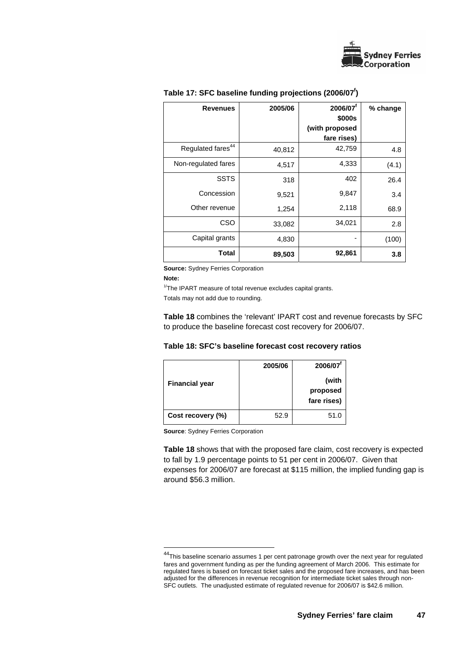

| <b>Revenues</b>               | 2005/06 | 2006/07 <sup>f</sup><br>\$000s | % change |
|-------------------------------|---------|--------------------------------|----------|
|                               |         | (with proposed                 |          |
|                               |         | fare rises)                    |          |
| Regulated fares <sup>44</sup> | 40,812  | 42,759                         | 4.8      |
| Non-regulated fares           | 4,517   | 4,333                          | (4.1)    |
| <b>SSTS</b>                   | 318     | 402                            | 26.4     |
| Concession                    | 9,521   | 9,847                          | 3.4      |
| Other revenue                 | 1,254   | 2,118                          | 68.9     |
| CSO                           | 33,082  | 34,021                         | 2.8      |
| Capital grants                | 4,830   |                                | (100)    |
| <b>Total</b>                  | 89,503  | 92,861                         | 3.8      |

## **Table 17: SFC baseline funding projections (2006/07f )**

**Source:** Sydney Ferries Corporation

**Note:** 

l

 $1/$ The IPART measure of total revenue excludes capital grants.

Totals may not add due to rounding.

**Table 18** combines the 'relevant' IPART cost and revenue forecasts by SFC to produce the baseline forecast cost recovery for 2006/07.

| Table 18: SFC's baseline forecast cost recovery ratios |  |  |  |  |  |  |  |  |
|--------------------------------------------------------|--|--|--|--|--|--|--|--|
|--------------------------------------------------------|--|--|--|--|--|--|--|--|

|                       | 2005/06 | 2006/07 <sup>t</sup>             |
|-----------------------|---------|----------------------------------|
| <b>Financial year</b> |         | (with<br>proposed<br>fare rises) |
| Cost recovery (%)     | 52.9    | 51.0                             |

**Source**: Sydney Ferries Corporation

**Table 18** shows that with the proposed fare claim, cost recovery is expected to fall by 1.9 percentage points to 51 per cent in 2006/07. Given that expenses for 2006/07 are forecast at \$115 million, the implied funding gap is around \$56.3 million.

<sup>&</sup>lt;sup>44</sup>This baseline scenario assumes 1 per cent patronage growth over the next year for regulated fares and government funding as per the funding agreement of March 2006. This estimate for regulated fares is based on forecast ticket sales and the proposed fare increases, and has been adjusted for the differences in revenue recognition for intermediate ticket sales through non-SFC outlets. The unadjusted estimate of regulated revenue for 2006/07 is \$42.6 million.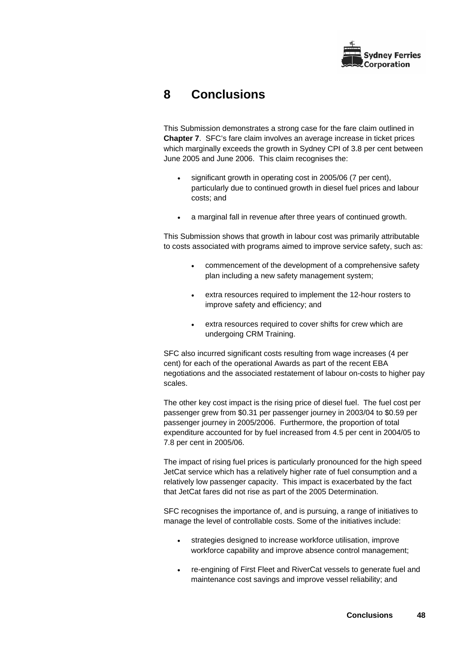

# **8 Conclusions**

This Submission demonstrates a strong case for the fare claim outlined in **Chapter 7**. SFC's fare claim involves an average increase in ticket prices which marginally exceeds the growth in Sydney CPI of 3.8 per cent between June 2005 and June 2006. This claim recognises the:

- significant growth in operating cost in 2005/06 (7 per cent), particularly due to continued growth in diesel fuel prices and labour costs; and
- a marginal fall in revenue after three years of continued growth.

This Submission shows that growth in labour cost was primarily attributable to costs associated with programs aimed to improve service safety, such as:

- commencement of the development of a comprehensive safety plan including a new safety management system;
- extra resources required to implement the 12-hour rosters to improve safety and efficiency; and
- extra resources required to cover shifts for crew which are undergoing CRM Training.

SFC also incurred significant costs resulting from wage increases (4 per cent) for each of the operational Awards as part of the recent EBA negotiations and the associated restatement of labour on-costs to higher pay scales.

The other key cost impact is the rising price of diesel fuel. The fuel cost per passenger grew from \$0.31 per passenger journey in 2003/04 to \$0.59 per passenger journey in 2005/2006. Furthermore, the proportion of total expenditure accounted for by fuel increased from 4.5 per cent in 2004/05 to 7.8 per cent in 2005/06.

The impact of rising fuel prices is particularly pronounced for the high speed JetCat service which has a relatively higher rate of fuel consumption and a relatively low passenger capacity. This impact is exacerbated by the fact that JetCat fares did not rise as part of the 2005 Determination.

SFC recognises the importance of, and is pursuing, a range of initiatives to manage the level of controllable costs. Some of the initiatives include:

- strategies designed to increase workforce utilisation, improve workforce capability and improve absence control management;
- re-engining of First Fleet and RiverCat vessels to generate fuel and maintenance cost savings and improve vessel reliability; and